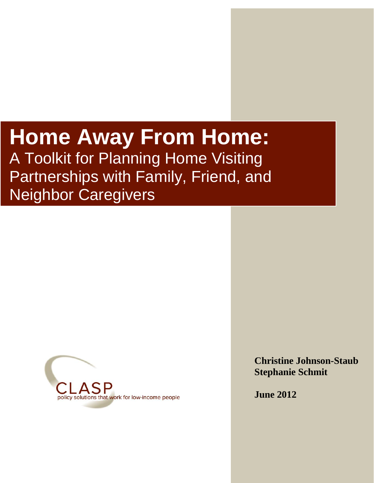# **Home Away From Home:**  A Toolkit for Planning Home Visiting Partnerships with Family, Friend, and

April 6, 2009

*Home Away from Home: A Toolkit for Home Visiting Partnerships With Family,* 





**Christine Johnson-Staub Stephanie Schmit**

**June 2012**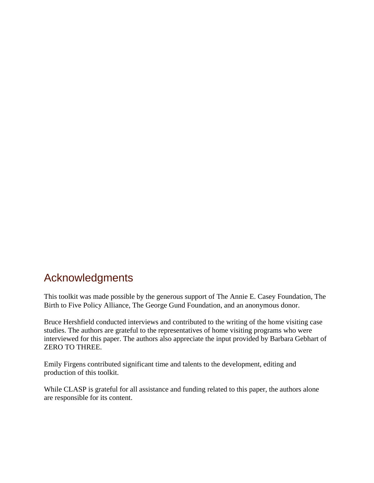# Acknowledgments

This toolkit was made possible by the generous support of The Annie E. Casey Foundation, The Birth to Five Policy Alliance, The George Gund Foundation, and an anonymous donor.

Bruce Hershfield conducted interviews and contributed to the writing of the home visiting case studies. The authors are grateful to the representatives of home visiting programs who were interviewed for this paper. The authors also appreciate the input provided by Barbara Gebhart of ZERO TO THREE.

Emily Firgens contributed significant time and talents to the development, editing and production of this toolkit.

While CLASP is grateful for all assistance and funding related to this paper, the authors alone are responsible for its content.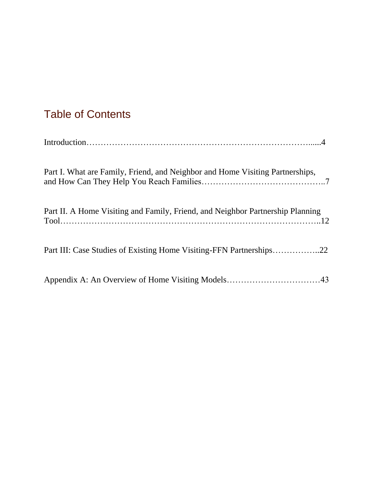# Table of Contents

| Part I. What are Family, Friend, and Neighbor and Home Visiting Partnerships,  |
|--------------------------------------------------------------------------------|
| Part II. A Home Visiting and Family, Friend, and Neighbor Partnership Planning |
|                                                                                |
|                                                                                |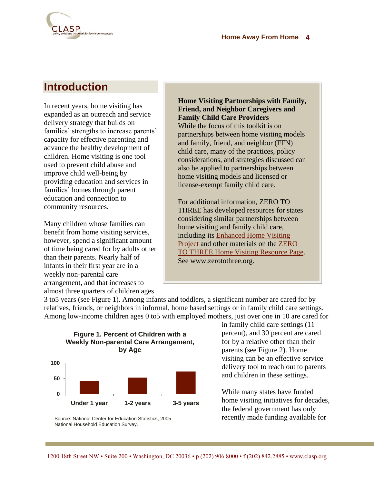

# **Introduction**

In recent years, home visiting has expanded as an outreach and service delivery strategy that builds on families' strengths to increase parents' capacity for effective parenting and advance the healthy development of children. Home visiting is one tool used to prevent child abuse and improve child well-being by providing education and services in families' homes through parent education and connection to community resources.

Many children whose families can benefit from home visiting services, however, spend a significant amount of time being cared for by adults other than their parents. Nearly half of infants in their first year are in a weekly non-parental care arrangement, and that increases to almost three quarters of children ages

**Home Visiting Partnerships with Family, Friend, and Neighbor Caregivers and Family Child Care Providers** While the focus of this toolkit is on partnerships between home visiting models and family, friend, and neighbor (FFN) child care, many of the practices, policy considerations, and strategies discussed can also be applied to partnerships between home visiting models and licensed or license-exempt family child care.

For additional information, ZERO TO THREE has developed resources for states considering similar partnerships between home visiting and family child care, including its [Enhanced Home Visiting](http://www.ehsnrc.org/PDFfiles/TA11.pdf)  [Project](http://www.ehsnrc.org/PDFfiles/TA11.pdf) and other materials on the [ZERO](http://www.zerotothree.org/public-policy/infant-toddler-policy-issues/home-visit.html)  [TO THREE Home Visiting Resource Page.](http://www.zerotothree.org/public-policy/infant-toddler-policy-issues/home-visit.html) See www.zerotothree.org.

3 to5 years (see Figure 1). Among infants and toddlers, a significant number are cared for by relatives, friends, or neighbors in informal, home based settings or in family child care settings. Among low-income children ages 0 to5 with employed mothers, just over one in 10 are cared for



Source: National Center for Education Statistics, 2005 National Household Education Survey.

in family child care settings (11 percent), and 30 percent are cared for by a relative other than their parents (see Figure 2). Home visiting can be an effective service delivery tool to reach out to parents and children in these settings.

While many states have funded home visiting initiatives for decades, the federal government has only recently made funding available for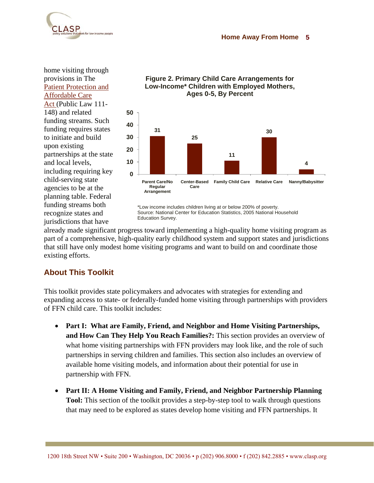

home visiting through provisions in The [Patient Protection and](http://frwebgate.access.gpo.gov/cgi-bin/getdoc.cgi?dbname=111_cong_bills&docid=f:h3590enr.txt.pdf#page=216)  [Affordable Care](http://frwebgate.access.gpo.gov/cgi-bin/getdoc.cgi?dbname=111_cong_bills&docid=f:h3590enr.txt.pdf#page=216)  [Act](http://frwebgate.access.gpo.gov/cgi-bin/getdoc.cgi?dbname=111_cong_bills&docid=f:h3590enr.txt.pdf#page=216) (Public Law 111- 148) and related funding streams. Such funding requires states to initiate and build upon existing partnerships at the state and local levels, including requiring key child-serving state agencies to be at the planning table. Federal funding streams both recognize states and jurisdictions that have



**Figure 2. Primary Child Care Arrangements for Low-Income\* Children with Employed Mothers,** 

\*Low income includes children living at or below 200% of poverty. Source: National Center for Education Statistics, 2005 National Household Education Survey.

already made significant progress toward implementing a high-quality home visiting program as part of a comprehensive, high-quality early childhood system and support states and jurisdictions that still have only modest home visiting programs and want to build on and coordinate those existing efforts.

### **About This Toolkit**

This toolkit provides state policymakers and advocates with strategies for extending and expanding access to state- or federally-funded home visiting through partnerships with providers of FFN child care. This toolkit includes:

- **Part I: What are Family, Friend, and Neighbor and Home Visiting Partnerships, and How Can They Help You Reach Families?:** This section provides an overview of what home visiting partnerships with FFN providers may look like, and the role of such partnerships in serving children and families. This section also includes an overview of available home visiting models, and information about their potential for use in partnership with FFN.
- **Part II: A Home Visiting and Family, Friend, and Neighbor Partnership Planning Tool:** This section of the toolkit provides a step-by-step tool to walk through questions that may need to be explored as states develop home visiting and FFN partnerships. It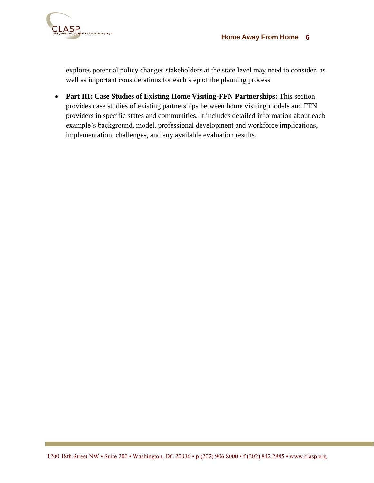



explores potential policy changes stakeholders at the state level may need to consider, as well as important considerations for each step of the planning process.

 **Part III: Case Studies of Existing Home Visiting-FFN Partnerships:** This section provides case studies of existing partnerships between home visiting models and FFN providers in specific states and communities. It includes detailed information about each example"s background, model, professional development and workforce implications, implementation, challenges, and any available evaluation results.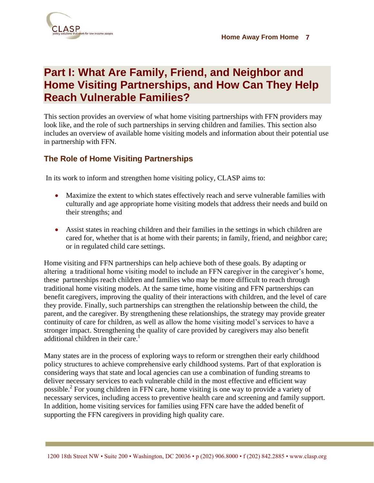

# **Part I: What Are Family, Friend, and Neighbor and Home Visiting Partnerships, and How Can They Help Reach Vulnerable Families?**

This section provides an overview of what home visiting partnerships with FFN providers may look like, and the role of such partnerships in serving children and families. This section also includes an overview of available home visiting models and information about their potential use in partnership with FFN.

### **The Role of Home Visiting Partnerships**

In its work to inform and strengthen home visiting policy, CLASP aims to:

- Maximize the extent to which states effectively reach and serve vulnerable families with culturally and age appropriate home visiting models that address their needs and build on their strengths; and
- Assist states in reaching children and their families in the settings in which children are cared for, whether that is at home with their parents; in family, friend, and neighbor care; or in regulated child care settings.

Home visiting and FFN partnerships can help achieve both of these goals. By adapting or altering a traditional home visiting model to include an FFN caregiver in the caregiver"s home, these partnerships reach children and families who may be more difficult to reach through traditional home visiting models. At the same time, home visiting and FFN partnerships can benefit caregivers, improving the quality of their interactions with children, and the level of care they provide. Finally, such partnerships can strengthen the relationship between the child, the parent, and the caregiver. By strengthening these relationships, the strategy may provide greater continuity of care for children, as well as allow the home visiting model"s services to have a stronger impact. Strengthening the quality of care provided by caregivers may also benefit additional children in their care.<sup>1</sup>

Many states are in the process of exploring ways to reform or strengthen their early childhood policy structures to achieve comprehensive early childhood systems. Part of that exploration is considering ways that state and local agencies can use a combination of funding streams to deliver necessary services to each vulnerable child in the most effective and efficient way possible.<sup>2</sup> For young children in FFN care, home visiting is one way to provide a variety of necessary services, including access to preventive health care and screening and family support. In addition, home visiting services for families using FFN care have the added benefit of supporting the FFN caregivers in providing high quality care.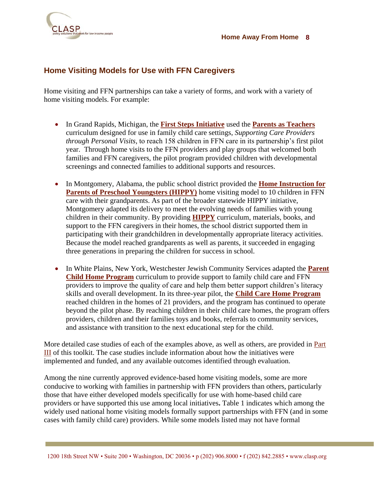

### **Home Visiting Models for Use with FFN Caregivers**

Home visiting and FFN partnerships can take a variety of forms, and work with a variety of home visiting models. For example:

- In Grand Rapids, Michigan, the **[First Steps](#page-22-0) Initiative** used the **[Parents as Teachers](http://www.parentsasteachers.org/)** curriculum designed for use in family child care settings, *Supporting Care Providers through Personal Visits,* to reach 158 children in FFN care in its partnership's first pilot year. Through home visits to the FFN providers and play groups that welcomed both families and FFN caregivers, the pilot program provided children with developmental screenings and connected families to additional supports and resources.
- In Montgomery, Alabama, the public school district provided the **Home Instruction for [Parents of Preschool Youngsters \(HIPPY\)](#page-39-0)** home visiting model to 10 children in FFN care with their grandparents. As part of the broader statewide HIPPY initiative, Montgomery adapted its delivery to meet the evolving needs of families with young children in their community. By providing **[HIPPY](http://www.hippyusa.org/)** curriculum, materials, books, and support to the FFN caregivers in their homes, the school district supported them in participating with their grandchildren in developmentally appropriate literacy activities. Because the model reached grandparents as well as parents, it succeeded in engaging three generations in preparing the children for success in school.
- In White Plains, New York, Westchester Jewish Community Services adapted the **Parent [Child Home Program](http://www.parent-child.org/)** curriculum to provide support to family child care and FFN providers to improve the quality of care and help them better support children"s literacy skills and overall development. In its three-year pilot, the **[Child Care Home Program](#page-34-0)** reached children in the homes of 21 providers, and the program has continued to operate beyond the pilot phase. By reaching children in their child care homes, the program offers providers, children and their families toys and books, referrals to community services, and assistance with transition to the next educational step for the child.

More detailed case studies of each of the examples above, as well as others, are provided in Part III of this toolkit. The case studies include information about how the initiatives were implemented and funded, and any available outcomes identified through evaluation.

Among the nine currently approved evidence-based home visiting models, some are more conducive to working with families in partnership with FFN providers than others, particularly those that have either developed models specifically for use with home-based child care providers or have supported this use among local initiatives**.** Table 1 indicates which among the widely used national home visiting models formally support partnerships with FFN (and in some cases with family child care) providers. While some models listed may not have formal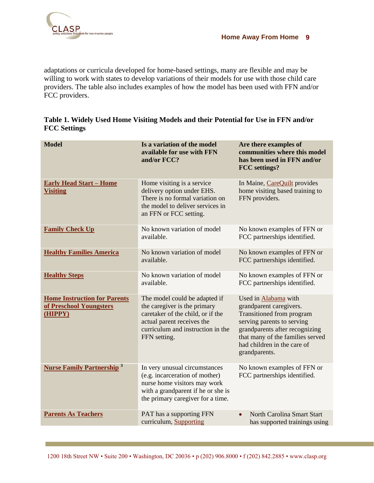

adaptations or curricula developed for home-based settings, many are flexible and may be willing to work with states to develop variations of their models for use with those child care providers. The table also includes examples of how the model has been used with FFN and/or FCC providers.

|                     | Table 1. Widely Used Home Visiting Models and their Potential for Use in FFN and/or |  |  |  |  |
|---------------------|-------------------------------------------------------------------------------------|--|--|--|--|
| <b>FCC Settings</b> |                                                                                     |  |  |  |  |

| <b>Model</b>                                                              | Is a variation of the model<br>available for use with FFN<br>and/or FCC?                                                                                                              | Are there examples of<br>communities where this model<br>has been used in FFN and/or<br><b>FCC</b> settings?                                                                                                                     |
|---------------------------------------------------------------------------|---------------------------------------------------------------------------------------------------------------------------------------------------------------------------------------|----------------------------------------------------------------------------------------------------------------------------------------------------------------------------------------------------------------------------------|
| <b>Early Head Start - Home</b><br><b>Visiting</b>                         | Home visiting is a service<br>delivery option under EHS.<br>There is no formal variation on<br>the model to deliver services in<br>an FFN or FCC setting.                             | In Maine, CareQuilt provides<br>home visiting based training to<br>FFN providers.                                                                                                                                                |
| <b>Family Check Up</b>                                                    | No known variation of model<br>available.                                                                                                                                             | No known examples of FFN or<br>FCC partnerships identified.                                                                                                                                                                      |
| <b>Healthy Families America</b>                                           | No known variation of model<br>available.                                                                                                                                             | No known examples of FFN or<br>FCC partnerships identified.                                                                                                                                                                      |
| <b>Healthy Steps</b>                                                      | No known variation of model<br>available.                                                                                                                                             | No known examples of FFN or<br>FCC partnerships identified.                                                                                                                                                                      |
| <b>Home Instruction for Parents</b><br>of Preschool Youngsters<br>(HIPPY) | The model could be adapted if<br>the caregiver is the primary<br>caretaker of the child, or if the<br>actual parent receives the<br>curriculum and instruction in the<br>FFN setting. | Used in Alabama with<br>grandparent caregivers.<br>Transitioned from program<br>serving parents to serving<br>grandparents after recognizing<br>that many of the families served<br>had children in the care of<br>grandparents. |
| <b>Nurse Family Partnership</b> <sup>3</sup>                              | In very unusual circumstances<br>(e.g. incarceration of mother)<br>nurse home visitors may work<br>with a grandparent if he or she is<br>the primary caregiver for a time.            | No known examples of FFN or<br>FCC partnerships identified.                                                                                                                                                                      |
| <b>Parents As Teachers</b>                                                | PAT has a supporting FFN<br>curriculum, Supporting                                                                                                                                    | North Carolina Smart Start<br>has supported trainings using                                                                                                                                                                      |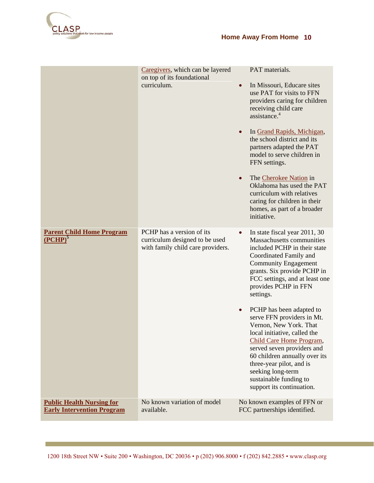

|                                                                       | Caregivers, which can be layered<br>on top of its foundational<br>curriculum.                    | PAT materials.<br>In Missouri, Educare sites<br>$\bullet$<br>use PAT for visits to FFN<br>providers caring for children<br>receiving child care<br>assistance. <sup>4</sup><br>In Grand Rapids, Michigan,<br>$\bullet$<br>the school district and its<br>partners adapted the PAT<br>model to serve children in<br>FFN settings.<br>The Cherokee Nation in<br>$\bullet$<br>Oklahoma has used the PAT<br>curriculum with relatives<br>caring for children in their<br>homes, as part of a broader<br>initiative.                                                                                            |
|-----------------------------------------------------------------------|--------------------------------------------------------------------------------------------------|------------------------------------------------------------------------------------------------------------------------------------------------------------------------------------------------------------------------------------------------------------------------------------------------------------------------------------------------------------------------------------------------------------------------------------------------------------------------------------------------------------------------------------------------------------------------------------------------------------|
| <b>Parent Child Home Program</b><br>$(PCHP)^5$                        | PCHP has a version of its<br>curriculum designed to be used<br>with family child care providers. | In state fiscal year 2011, 30<br>$\bullet$<br>Massachusetts communities<br>included PCHP in their state<br>Coordinated Family and<br><b>Community Engagement</b><br>grants. Six provide PCHP in<br>FCC settings, and at least one<br>provides PCHP in FFN<br>settings.<br>PCHP has been adapted to<br>$\bullet$<br>serve FFN providers in Mt.<br>Vernon, New York. That<br>local initiative, called the<br>Child Care Home Program,<br>served seven providers and<br>60 children annually over its<br>three-year pilot, and is<br>seeking long-term<br>sustainable funding to<br>support its continuation. |
| <b>Public Health Nursing for</b><br><b>Early Intervention Program</b> | No known variation of model<br>available.                                                        | No known examples of FFN or<br>FCC partnerships identified.                                                                                                                                                                                                                                                                                                                                                                                                                                                                                                                                                |
|                                                                       |                                                                                                  |                                                                                                                                                                                                                                                                                                                                                                                                                                                                                                                                                                                                            |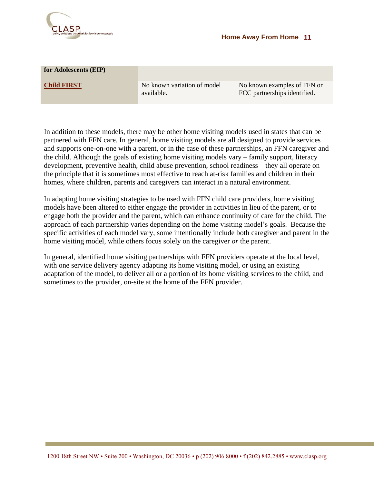

| for Adolescents (EIP) |                                           |                                                             |
|-----------------------|-------------------------------------------|-------------------------------------------------------------|
| <b>Child FIRST</b>    | No known variation of model<br>available. | No known examples of FFN or<br>FCC partnerships identified. |

In addition to these models, there may be other home visiting models used in states that can be partnered with FFN care. In general, home visiting models are all designed to provide services and supports one-on-one with a parent, or in the case of these partnerships, an FFN caregiver and the child. Although the goals of existing home visiting models vary – family support, literacy development, preventive health, child abuse prevention, school readiness – they all operate on the principle that it is sometimes most effective to reach at-risk families and children in their homes, where children, parents and caregivers can interact in a natural environment.

In adapting home visiting strategies to be used with FFN child care providers, home visiting models have been altered to either engage the provider in activities in lieu of the parent, or to engage both the provider and the parent, which can enhance continuity of care for the child. The approach of each partnership varies depending on the home visiting model"s goals. Because the specific activities of each model vary, some intentionally include both caregiver and parent in the home visiting model, while others focus solely on the caregiver *or* the parent.

In general, identified home visiting partnerships with FFN providers operate at the local level, with one service delivery agency adapting its home visiting model, or using an existing adaptation of the model, to deliver all or a portion of its home visiting services to the child, and sometimes to the provider, on-site at the home of the FFN provider.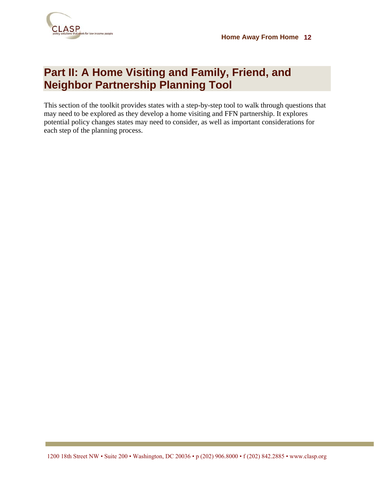

# **Part II: A Home Visiting and Family, Friend, and Neighbor Partnership Planning Tool**

This section of the toolkit provides states with a step-by-step tool to walk through questions that may need to be explored as they develop a home visiting and FFN partnership. It explores potential policy changes states may need to consider, as well as important considerations for each step of the planning process.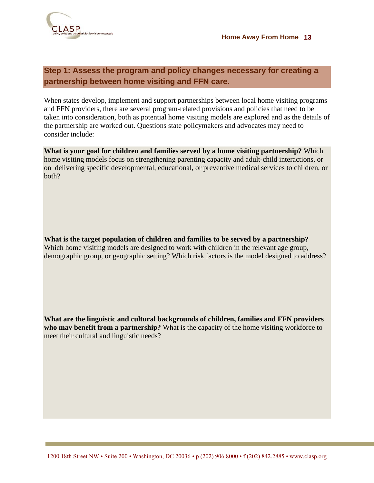

### **Step 1: Assess the program and policy changes necessary for creating a partnership between home visiting and FFN care.**

When states develop, implement and support partnerships between local home visiting programs and FFN providers, there are several program-related provisions and policies that need to be taken into consideration, both as potential home visiting models are explored and as the details of the partnership are worked out. Questions state policymakers and advocates may need to consider include:

**What is your goal for children and families served by a home visiting partnership?** Which home visiting models focus on strengthening parenting capacity and adult-child interactions, or on delivering specific developmental, educational, or preventive medical services to children, or both?

**What is the target population of children and families to be served by a partnership?**  Which home visiting models are designed to work with children in the relevant age group, demographic group, or geographic setting? Which risk factors is the model designed to address?

**What are the linguistic and cultural backgrounds of children, families and FFN providers who may benefit from a partnership?** What is the capacity of the home visiting workforce to meet their cultural and linguistic needs?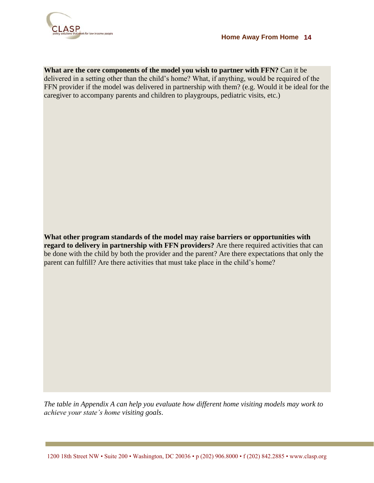

**What are the core components of the model you wish to partner with FFN?** Can it be delivered in a setting other than the child"s home? What, if anything, would be required of the FFN provider if the model was delivered in partnership with them? (e.g. Would it be ideal for the caregiver to accompany parents and children to playgroups, pediatric visits, etc.)

**What other program standards of the model may raise barriers or opportunities with regard to delivery in partnership with FFN providers?** Are there required activities that can be done with the child by both the provider and the parent? Are there expectations that only the parent can fulfill? Are there activities that must take place in the child"s home?

*The table in Appendix A can help you evaluate how different home visiting models may work to achieve your state's home visiting goals*.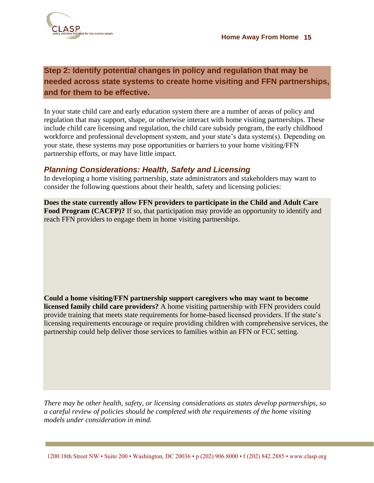

### **Step 2: Identify potential changes in policy and regulation that may be needed across state systems to create home visiting and FFN partnerships, and for them to be effective.**

In your state child care and early education system there are a number of areas of policy and regulation that may support, shape, or otherwise interact with home visiting partnerships. These include child care licensing and regulation, the child care subsidy program, the early childhood workforce and professional development system, and your state's data system(s). Depending on your state, these systems may pose opportunities or barriers to your home visiting/FFN partnership efforts, or may have little impact.

### *Planning Considerations: Health, Safety and Licensing*

In developing a home visiting partnership, state administrators and stakeholders may want to consider the following questions about their health, safety and licensing policies:

**Does the state currently allow FFN providers to participate in the Child and Adult Care Food Program (CACFP)?** If so, that participation may provide an opportunity to identify and reach FFN providers to engage them in home visiting partnerships.

**Could a home visiting/FFN partnership support caregivers who may want to become licensed family child care providers?** A home visiting partnership with FFN providers could provide training that meets state requirements for home-based licensed providers. If the state"s licensing requirements encourage or require providing children with comprehensive services, the partnership could help deliver those services to families within an FFN or FCC setting.

*There may be other health, safety, or licensing considerations as states develop partnerships, so a careful review of policies should be completed with the requirements of the home visiting models under consideration in mind.*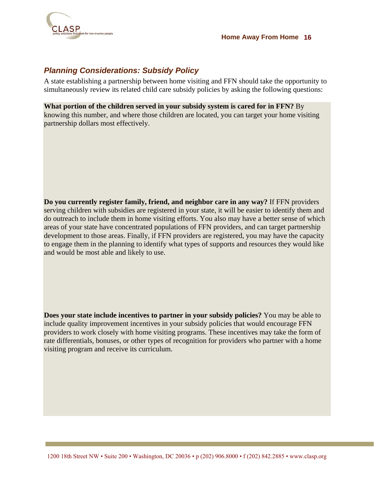

### *Planning Considerations: Subsidy Policy*

A state establishing a partnership between home visiting and FFN should take the opportunity to simultaneously review its related child care subsidy policies by asking the following questions:

**What portion of the children served in your subsidy system is cared for in FFN?** By knowing this number, and where those children are located, you can target your home visiting partnership dollars most effectively.

**Do you currently register family, friend, and neighbor care in any way?** If FFN providers serving children with subsidies are registered in your state, it will be easier to identify them and do outreach to include them in home visiting efforts. You also may have a better sense of which areas of your state have concentrated populations of FFN providers, and can target partnership development to those areas. Finally, if FFN providers are registered, you may have the capacity to engage them in the planning to identify what types of supports and resources they would like and would be most able and likely to use.

**Does your state include incentives to partner in your subsidy policies?** You may be able to include quality improvement incentives in your subsidy policies that would encourage FFN providers to work closely with home visiting programs. These incentives may take the form of rate differentials, bonuses, or other types of recognition for providers who partner with a home visiting program and receive its curriculum.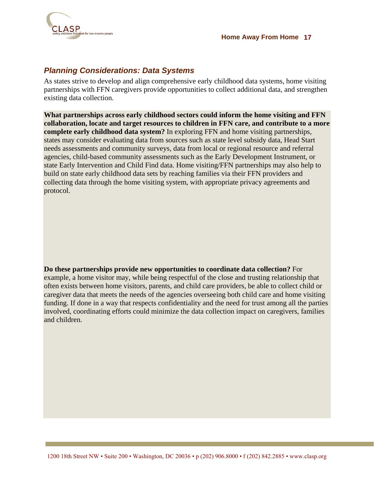

### *Planning Considerations: Data Systems*

As states strive to develop and align comprehensive early childhood data systems, home visiting partnerships with FFN caregivers provide opportunities to collect additional data, and strengthen existing data collection.

**What partnerships across early childhood sectors could inform the home visiting and FFN collaboration, locate and target resources to children in FFN care, and contribute to a more complete early childhood data system?** In exploring FFN and home visiting partnerships, states may consider evaluating data from sources such as state level subsidy data, Head Start needs assessments and community surveys, data from local or regional resource and referral agencies, child-based community assessments such as the Early Development Instrument, or state Early Intervention and Child Find data. Home visiting/FFN partnerships may also help to build on state early childhood data sets by reaching families via their FFN providers and collecting data through the home visiting system, with appropriate privacy agreements and protocol.

**Do these partnerships provide new opportunities to coordinate data collection?** For example, a home visitor may, while being respectful of the close and trusting relationship that often exists between home visitors, parents, and child care providers, be able to collect child or caregiver data that meets the needs of the agencies overseeing both child care and home visiting funding. If done in a way that respects confidentiality and the need for trust among all the parties involved, coordinating efforts could minimize the data collection impact on caregivers, families and children.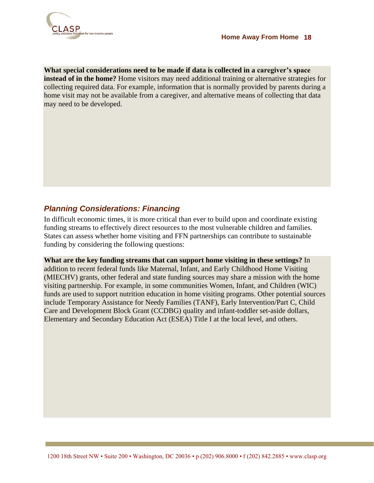

**What special considerations need to be made if data is collected in a caregiver's space instead of in the home?** Home visitors may need additional training or alternative strategies for collecting required data. For example, information that is normally provided by parents during a home visit may not be available from a caregiver, and alternative means of collecting that data may need to be developed.

### *Planning Considerations: Financing*

In difficult economic times, it is more critical than ever to build upon and coordinate existing funding streams to effectively direct resources to the most vulnerable children and families. States can assess whether home visiting and FFN partnerships can contribute to sustainable funding by considering the following questions:

**What are the key funding streams that can support home visiting in these settings?** In addition to recent federal funds like Maternal, Infant, and Early Childhood Home Visiting (MIECHV) grants, other federal and state funding sources may share a mission with the home visiting partnership. For example, in some communities Women, Infant, and Children (WIC) funds are used to support nutrition education in home visiting programs. Other potential sources include Temporary Assistance for Needy Families (TANF), Early Intervention/Part C, Child Care and Development Block Grant (CCDBG) quality and infant-toddler set-aside dollars, Elementary and Secondary Education Act (ESEA) Title I at the local level, and others.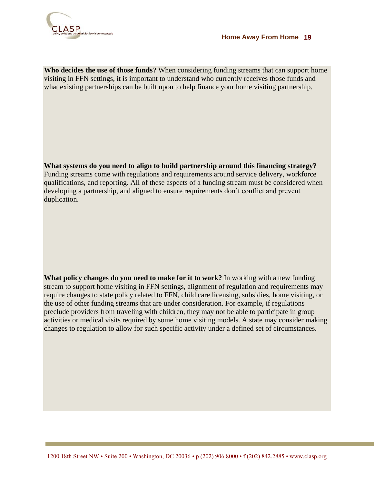

**Who decides the use of those funds?** When considering funding streams that can support home visiting in FFN settings, it is important to understand who currently receives those funds and what existing partnerships can be built upon to help finance your home visiting partnership.

**What systems do you need to align to build partnership around this financing strategy?** Funding streams come with regulations and requirements around service delivery, workforce qualifications, and reporting. All of these aspects of a funding stream must be considered when developing a partnership, and aligned to ensure requirements don"t conflict and prevent duplication.

**What policy changes do you need to make for it to work?** In working with a new funding stream to support home visiting in FFN settings, alignment of regulation and requirements may require changes to state policy related to FFN, child care licensing, subsidies, home visiting, or the use of other funding streams that are under consideration. For example, if regulations preclude providers from traveling with children, they may not be able to participate in group activities or medical visits required by some home visiting models. A state may consider making changes to regulation to allow for such specific activity under a defined set of circumstances.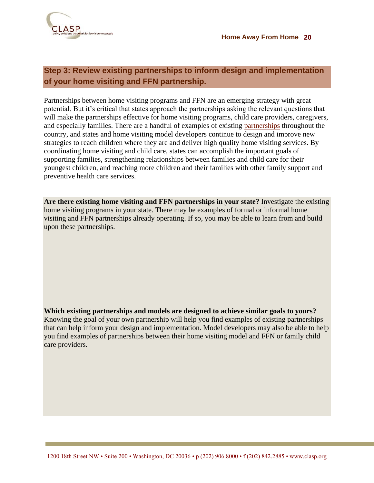

### **Step 3: Review existing partnerships to inform design and implementation of your home visiting and FFN partnership.**

Partnerships between home visiting programs and FFN are an emerging strategy with great potential. But it's critical that states approach the partnerships asking the relevant questions that will make the partnerships effective for home visiting programs, child care providers, caregivers, and especially families. There are a handful of examples of existing [partnerships](#page-21-0) throughout the country, and states and home visiting model developers continue to design and improve new strategies to reach children where they are and deliver high quality home visiting services. By coordinating home visiting and child care, states can accomplish the important goals of supporting families, strengthening relationships between families and child care for their youngest children, and reaching more children and their families with other family support and preventive health care services.

**Are there existing home visiting and FFN partnerships in your state?** Investigate the existing home visiting programs in your state. There may be examples of formal or informal home visiting and FFN partnerships already operating. If so, you may be able to learn from and build upon these partnerships.

**Which existing partnerships and models are designed to achieve similar goals to yours?**  Knowing the goal of your own partnership will help you find examples of existing partnerships that can help inform your design and implementation. Model developers may also be able to help you find examples of partnerships between their home visiting model and FFN or family child care providers.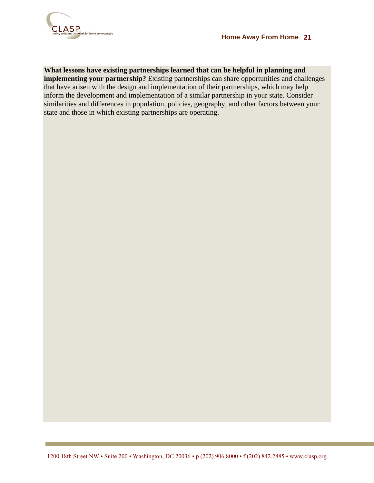

**What lessons have existing partnerships learned that can be helpful in planning and implementing your partnership?** Existing partnerships can share opportunities and challenges that have arisen with the design and implementation of their partnerships, which may help inform the development and implementation of a similar partnership in your state. Consider similarities and differences in population, policies, geography, and other factors between your state and those in which existing partnerships are operating.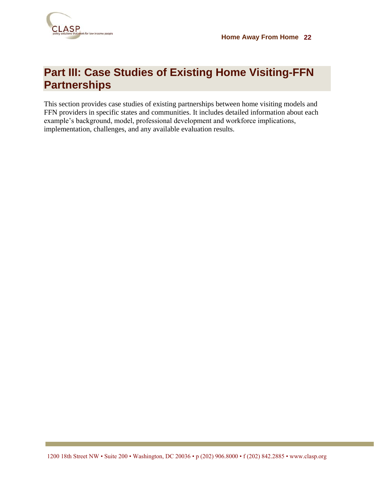

# <span id="page-21-0"></span>**Part III: Case Studies of Existing Home Visiting-FFN Partnerships**

This section provides case studies of existing partnerships between home visiting models and FFN providers in specific states and communities. It includes detailed information about each example"s background, model, professional development and workforce implications, implementation, challenges, and any available evaluation results.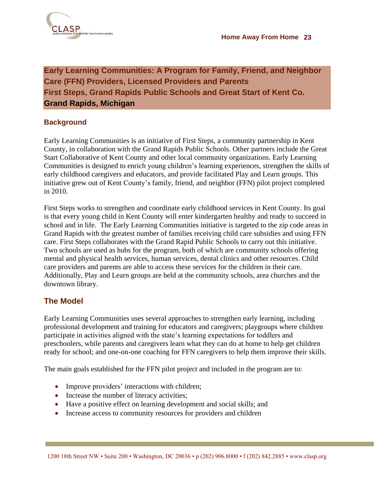

<span id="page-22-0"></span>**Early Learning Communities: A Program for Family, Friend, and Neighbor Care (FFN) Providers, Licensed Providers and Parents First Steps, Grand Rapids Public Schools and Great Start of Kent Co. Grand Rapids, Michigan**

### **Background**

Early Learning Communities is an initiative of First Steps, a community partnership in Kent County, in collaboration with the Grand Rapids Public Schools. Other partners include the Great Start Collaborative of Kent County and other local community organizations. Early Learning Communities is designed to enrich young children"s learning experiences, strengthen the skills of early childhood caregivers and educators, and provide facilitated Play and Learn groups. This initiative grew out of Kent County"s family, friend, and neighbor (FFN) pilot project completed in 2010.

First Steps works to strengthen and coordinate early childhood services in Kent County. Its goal is that every young child in Kent County will enter kindergarten healthy and ready to succeed in school and in life. The Early Learning Communities initiative is targeted to the zip code areas in Grand Rapids with the greatest number of families receiving child care subsidies and using FFN care. First Steps collaborates with the Grand Rapid Public Schools to carry out this initiative. Two schools are used as hubs for the program, both of which are community schools offering mental and physical health services, human services, dental clinics and other resources. Child care providers and parents are able to access these services for the children in their care. Additionally, Play and Learn groups are held at the community schools, area churches and the downtown library.

### **The Model**

Early Learning Communities uses several approaches to strengthen early learning, including professional development and training for educators and caregivers; playgroups where children participate in activities aligned with the state"s learning expectations for toddlers and preschoolers, while parents and caregivers learn what they can do at home to help get children ready for school; and one-on-one coaching for FFN caregivers to help them improve their skills.

The main goals established for the FFN pilot project and included in the program are to:

- Improve providers' interactions with children;
- Increase the number of literacy activities;
- Have a positive effect on learning development and social skills; and
- Increase access to community resources for providers and children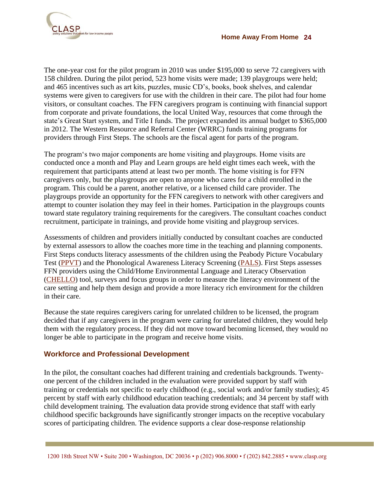

The one-year cost for the pilot program in 2010 was under \$195,000 to serve 72 caregivers with 158 children. During the pilot period, 523 home visits were made; 139 playgroups were held; and 465 incentives such as art kits, puzzles, music CD"s, books, book shelves, and calendar systems were given to caregivers for use with the children in their care. The pilot had four home visitors, or consultant coaches. The FFN caregivers program is continuing with financial support from corporate and private foundations, the local United Way, resources that come through the state's Great Start system, and Title I funds. The project expanded its annual budget to \$365,000 in 2012. The Western Resource and Referral Center (WRRC) funds training programs for providers through First Steps. The schools are the fiscal agent for parts of the program.

The program"s two major components are home visiting and playgroups. Home visits are conducted once a month and Play and Learn groups are held eight times each week, with the requirement that participants attend at least two per month. The home visiting is for FFN caregivers only, but the playgroups are open to anyone who cares for a child enrolled in the program. This could be a parent, another relative, or a licensed child care provider. The playgroups provide an opportunity for the FFN caregivers to network with other caregivers and attempt to counter isolation they may feel in their homes. Participation in the playgroups counts toward state regulatory training requirements for the caregivers. The consultant coaches conduct recruitment, participate in trainings, and provide home visiting and playgroup services.

Assessments of children and providers initially conducted by consultant coaches are conducted by external assessors to allow the coaches more time in the teaching and planning components. First Steps conducts literacy assessments of the children using the Peabody Picture Vocabulary Test [\(PPVT\)](http://psychcorp.pearsonassessments.com/HAIWEB/Cultures/en-us/Productdetail.htm?Pid=PAa30700) and the Phonological Awareness Literacy Screening [\(PALS\)](http://pals.virginia.edu/). First Steps assesses FFN providers using the Child/Home Environmental Language and Literacy Observation [\(CHELLO\)](http://www.brookespublishing.com/store/books/neuman-chello/index.htm) tool, surveys and focus groups in order to measure the literacy environment of the care setting and help them design and provide a more literacy rich environment for the children in their care.

Because the state requires caregivers caring for unrelated children to be licensed, the program decided that if any caregivers in the program were caring for unrelated children, they would help them with the regulatory process. If they did not move toward becoming licensed, they would no longer be able to participate in the program and receive home visits.

### **Workforce and Professional Development**

In the pilot, the consultant coaches had different training and credentials backgrounds. Twentyone percent of the children included in the evaluation were provided support by staff with training or credentials not specific to early childhood (e.g., social work and/or family studies); 45 percent by staff with early childhood education teaching credentials; and 34 percent by staff with child development training. The evaluation data provide strong evidence that staff with early childhood specific backgrounds have significantly stronger impacts on the receptive vocabulary scores of participating children. The evidence supports a clear dose-response relationship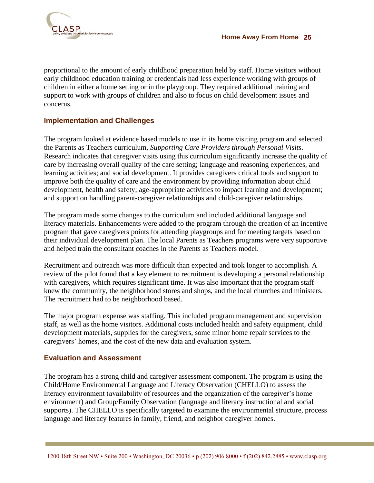

proportional to the amount of early childhood preparation held by staff. Home visitors without early childhood education training or credentials had less experience working with groups of children in either a home setting or in the playgroup. They required additional training and support to work with groups of children and also to focus on child development issues and concerns.

### **Implementation and Challenges**

The program looked at evidence based models to use in its home visiting program and selected the Parents as Teachers curriculum, *Supporting Care Providers through Personal Visits*. Research indicates that caregiver visits using this curriculum significantly increase the quality of care by increasing overall quality of the care setting; language and reasoning experiences, and learning activities; and social development. It provides caregivers critical tools and support to improve both the quality of care and the environment by providing information about child development, health and safety; age-appropriate activities to impact learning and development; and support on handling parent-caregiver relationships and child-caregiver relationships.

The program made some changes to the curriculum and included additional language and literacy materials. Enhancements were added to the program through the creation of an incentive program that gave caregivers points for attending playgroups and for meeting targets based on their individual development plan. The local Parents as Teachers programs were very supportive and helped train the consultant coaches in the Parents as Teachers model.

Recruitment and outreach was more difficult than expected and took longer to accomplish. A review of the pilot found that a key element to recruitment is developing a personal relationship with caregivers, which requires significant time. It was also important that the program staff knew the community, the neighborhood stores and shops, and the local churches and ministers. The recruitment had to be neighborhood based.

The major program expense was staffing. This included program management and supervision staff, as well as the home visitors. Additional costs included health and safety equipment, child development materials, supplies for the caregivers, some minor home repair services to the caregivers" homes, and the cost of the new data and evaluation system.

### **Evaluation and Assessment**

The program has a strong child and caregiver assessment component. The program is using the Child/Home Environmental Language and Literacy Observation (CHELLO) to assess the literacy environment (availability of resources and the organization of the caregiver's home environment) and Group/Family Observation (language and literacy instructional and social supports). The CHELLO is specifically targeted to examine the environmental structure, process language and literacy features in family, friend, and neighbor caregiver homes.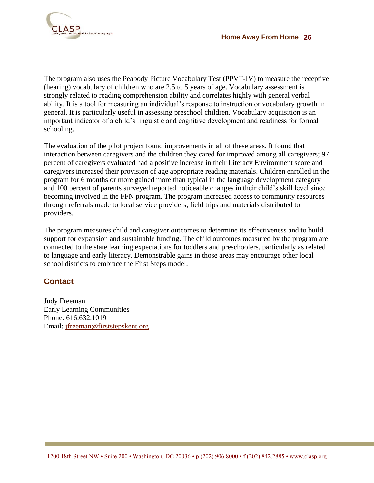

The program also uses the Peabody Picture Vocabulary Test (PPVT-IV) to measure the receptive (hearing) vocabulary of children who are 2.5 to 5 years of age. Vocabulary assessment is strongly related to reading comprehension ability and correlates highly with general verbal ability. It is a tool for measuring an individual"s response to instruction or vocabulary growth in general. It is particularly useful in assessing preschool children. Vocabulary acquisition is an important indicator of a child"s linguistic and cognitive development and readiness for formal schooling.

The evaluation of the pilot project found improvements in all of these areas. It found that interaction between caregivers and the children they cared for improved among all caregivers; 97 percent of caregivers evaluated had a positive increase in their Literacy Environment score and caregivers increased their provision of age appropriate reading materials. Children enrolled in the program for 6 months or more gained more than typical in the language development category and 100 percent of parents surveyed reported noticeable changes in their child"s skill level since becoming involved in the FFN program. The program increased access to community resources through referrals made to local service providers, field trips and materials distributed to providers.

The program measures child and caregiver outcomes to determine its effectiveness and to build support for expansion and sustainable funding. The child outcomes measured by the program are connected to the state learning expectations for toddlers and preschoolers, particularly as related to language and early literacy. Demonstrable gains in those areas may encourage other local school districts to embrace the First Steps model.

### **Contact**

Judy Freeman Early Learning Communities Phone: 616.632.1019 Email: <jfreeman@firststepskent.org>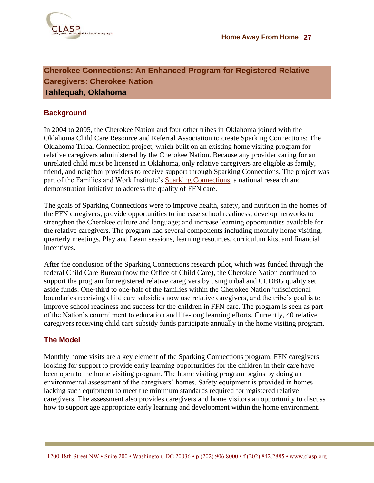

### <span id="page-26-0"></span>**Cherokee Connections: An Enhanced Program for Registered Relative Caregivers: Cherokee Nation Tahlequah, Oklahoma**

### **Background**

In 2004 to 2005, the Cherokee Nation and four other tribes in Oklahoma joined with the Oklahoma Child Care Resource and Referral Association to create Sparking Connections: The Oklahoma Tribal Connection project, which built on an existing home visiting program for relative caregivers administered by the Cherokee Nation. Because any provider caring for an unrelated child must be licensed in Oklahoma, only relative caregivers are eligible as family, friend, and neighbor providers to receive support through Sparking Connections. The project was part of the Families and Work Institute's [Sparking Connections,](http://familiesandwork.org/site/research/reports/sparking.pdf) a national research and demonstration initiative to address the quality of FFN care.

The goals of Sparking Connections were to improve health, safety, and nutrition in the homes of the FFN caregivers; provide opportunities to increase school readiness; develop networks to strengthen the Cherokee culture and language; and increase learning opportunities available for the relative caregivers. The program had several components including monthly home visiting, quarterly meetings, Play and Learn sessions, learning resources, curriculum kits, and financial incentives.

After the conclusion of the Sparking Connections research pilot, which was funded through the federal Child Care Bureau (now the Office of Child Care), the Cherokee Nation continued to support the program for registered relative caregivers by using tribal and CCDBG quality set aside funds. One-third to one-half of the families within the Cherokee Nation jurisdictional boundaries receiving child care subsidies now use relative caregivers, and the tribe"s goal is to improve school readiness and success for the children in FFN care. The program is seen as part of the Nation"s commitment to education and life-long learning efforts. Currently, 40 relative caregivers receiving child care subsidy funds participate annually in the home visiting program.

### **The Model**

Monthly home visits are a key element of the Sparking Connections program. FFN caregivers looking for support to provide early learning opportunities for the children in their care have been open to the home visiting program. The home visiting program begins by doing an environmental assessment of the caregivers' homes. Safety equipment is provided in homes lacking such equipment to meet the minimum standards required for registered relative caregivers. The assessment also provides caregivers and home visitors an opportunity to discuss how to support age appropriate early learning and development within the home environment.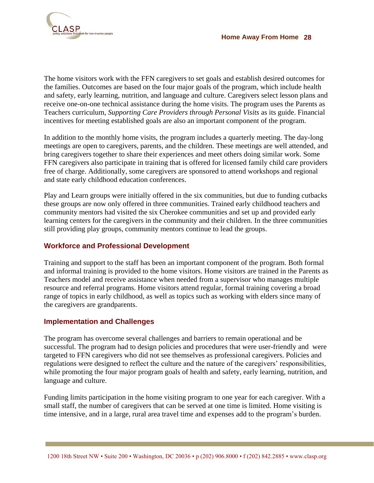

The home visitors work with the FFN caregivers to set goals and establish desired outcomes for the families. Outcomes are based on the four major goals of the program, which include health and safety, early learning, nutrition, and language and culture. Caregivers select lesson plans and receive one-on-one technical assistance during the home visits. The program uses the Parents as Teachers curriculum, *Supporting Care Providers through Personal Visits* as its guide. Financial incentives for meeting established goals are also an important component of the program.

In addition to the monthly home visits, the program includes a quarterly meeting. The day-long meetings are open to caregivers, parents, and the children. These meetings are well attended, and bring caregivers together to share their experiences and meet others doing similar work. Some FFN caregivers also participate in training that is offered for licensed family child care providers free of charge. Additionally, some caregivers are sponsored to attend workshops and regional and state early childhood education conferences.

Play and Learn groups were initially offered in the six communities, but due to funding cutbacks these groups are now only offered in three communities. Trained early childhood teachers and community mentors had visited the six Cherokee communities and set up and provided early learning centers for the caregivers in the community and their children. In the three communities still providing play groups, community mentors continue to lead the groups.

### **Workforce and Professional Development**

Training and support to the staff has been an important component of the program. Both formal and informal training is provided to the home visitors. Home visitors are trained in the Parents as Teachers model and receive assistance when needed from a supervisor who manages multiple resource and referral programs. Home visitors attend regular, formal training covering a broad range of topics in early childhood, as well as topics such as working with elders since many of the caregivers are grandparents.

#### **Implementation and Challenges**

The program has overcome several challenges and barriers to remain operational and be successful. The program had to design policies and procedures that were user-friendly and were targeted to FFN caregivers who did not see themselves as professional caregivers. Policies and regulations were designed to reflect the culture and the nature of the caregivers' responsibilities, while promoting the four major program goals of health and safety, early learning, nutrition, and language and culture.

Funding limits participation in the home visiting program to one year for each caregiver. With a small staff, the number of caregivers that can be served at one time is limited. Home visiting is time intensive, and in a large, rural area travel time and expenses add to the program"s burden.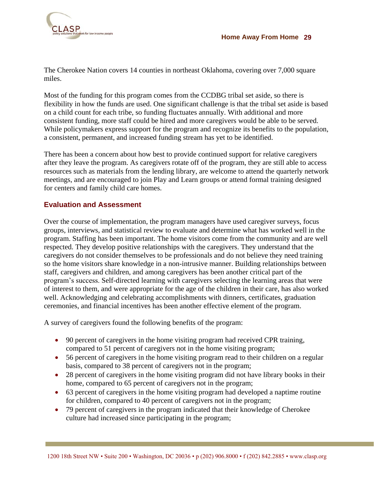

The Cherokee Nation covers 14 counties in northeast Oklahoma, covering over 7,000 square miles.

Most of the funding for this program comes from the CCDBG tribal set aside, so there is flexibility in how the funds are used. One significant challenge is that the tribal set aside is based on a child count for each tribe, so funding fluctuates annually. With additional and more consistent funding, more staff could be hired and more caregivers would be able to be served. While policymakers express support for the program and recognize its benefits to the population, a consistent, permanent, and increased funding stream has yet to be identified.

There has been a concern about how best to provide continued support for relative caregivers after they leave the program. As caregivers rotate off of the program, they are still able to access resources such as materials from the lending library, are welcome to attend the quarterly network meetings, and are encouraged to join Play and Learn groups or attend formal training designed for centers and family child care homes.

#### **Evaluation and Assessment**

Over the course of implementation, the program managers have used caregiver surveys, focus groups, interviews, and statistical review to evaluate and determine what has worked well in the program. Staffing has been important. The home visitors come from the community and are well respected. They develop positive relationships with the caregivers. They understand that the caregivers do not consider themselves to be professionals and do not believe they need training so the home visitors share knowledge in a non-intrusive manner. Building relationships between staff, caregivers and children, and among caregivers has been another critical part of the program"s success. Self-directed learning with caregivers selecting the learning areas that were of interest to them, and were appropriate for the age of the children in their care, has also worked well. Acknowledging and celebrating accomplishments with dinners, certificates, graduation ceremonies, and financial incentives has been another effective element of the program.

A survey of caregivers found the following benefits of the program:

- 90 percent of caregivers in the home visiting program had received CPR training, compared to 51 percent of caregivers not in the home visiting program;
- 56 percent of caregivers in the home visiting program read to their children on a regular basis, compared to 38 percent of caregivers not in the program;
- 28 percent of caregivers in the home visiting program did not have library books in their home, compared to 65 percent of caregivers not in the program;
- 63 percent of caregivers in the home visiting program had developed a naptime routine for children, compared to 40 percent of caregivers not in the program;
- 79 percent of caregivers in the program indicated that their knowledge of Cherokee culture had increased since participating in the program;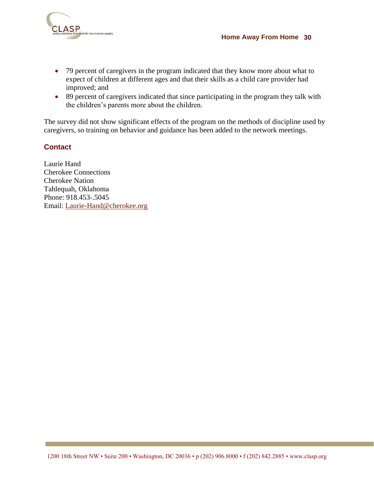

- 79 percent of caregivers in the program indicated that they know more about what to expect of children at different ages and that their skills as a child care provider had improved; and
- 89 percent of caregivers indicated that since participating in the program they talk with the children"s parents more about the children.

The survey did not show significant effects of the program on the methods of discipline used by caregivers, so training on behavior and guidance has been added to the network meetings.

### **Contact**

Laurie Hand Cherokee Connections Cherokee Nation Tahlequah, Oklahoma Phone: 918.453-.5045 Email:<Laurie-Hand@cherokee.org>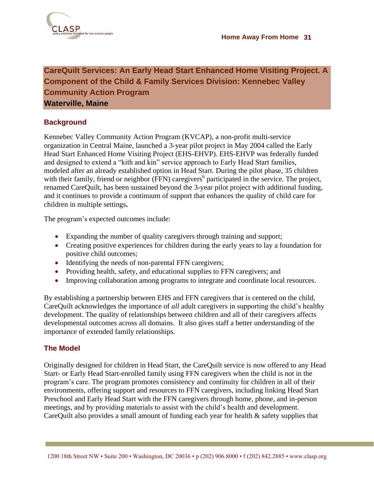### <span id="page-30-0"></span>**CareQuilt Services: An Early Head Start Enhanced Home Visiting Project. A Component of the Child & Family Services Division: Kennebec Valley Community Action Program Waterville, Maine**

### **Background**

Kennebec Valley Community Action Program (KVCAP), a non-profit multi-service organization in Central Maine, launched a 3-year pilot project in May 2004 called the Early Head Start Enhanced Home Visiting Project (EHS-EHVP). EHS-EHVP was federally funded and designed to extend a "kith and kin" service approach to Early Head Start families, modeled after an already established option in Head Start. During the pilot phase, 35 children with their family, friend or neighbor (FFN) caregivers<sup>6</sup> participated in the service. The project, renamed CareQuilt, has been sustained beyond the 3-year pilot project with additional funding, and it continues to provide a continuum of support that enhances the quality of child care for children in multiple settings**.** 

The program's expected outcomes include:

- Expanding the number of quality caregivers through training and support;
- Creating positive experiences for children during the early years to lay a foundation for positive child outcomes;
- Identifying the needs of non-parental FFN caregivers;
- Providing health, safety, and educational supplies to FFN caregivers; and
- Improving collaboration among programs to integrate and coordinate local resources.

By establishing a partnership between EHS and FFN caregivers that is centered on the child, CareQuilt acknowledges the importance of *all* adult caregivers in supporting the child"s healthy development. The quality of relationships between children and all of their caregivers affects developmental outcomes across all domains. It also gives staff a better understanding of the importance of extended family relationships.

### **The Model**

Originally designed for children in Head Start, the CareQuilt service is now offered to any Head Start- or Early Head Start-enrolled family using FFN caregivers when the child is not in the program"s care. The program promotes consistency and continuity for children in all of their environments, offering support and resources to FFN caregivers, including linking Head Start Preschool and Early Head Start with the FFN caregivers through home, phone, and in-person meetings, and by providing materials to assist with the child"s health and development. CareQuilt also provides a small amount of funding each year for health & safety supplies that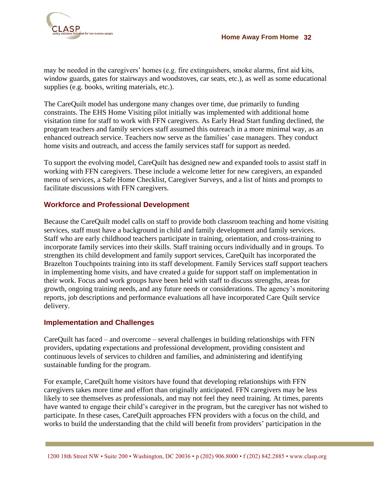

may be needed in the caregivers' homes (e.g. fire extinguishers, smoke alarms, first aid kits, window guards, gates for stairways and woodstoves, car seats, etc.), as well as some educational supplies (e.g. books, writing materials, etc.).

The CareQuilt model has undergone many changes over time, due primarily to funding constraints. The EHS Home Visiting pilot initially was implemented with additional home visitation time for staff to work with FFN caregivers. As Early Head Start funding declined, the program teachers and family services staff assumed this outreach in a more minimal way, as an enhanced outreach service. Teachers now serve as the families' case managers. They conduct home visits and outreach, and access the family services staff for support as needed.

To support the evolving model, CareQuilt has designed new and expanded tools to assist staff in working with FFN caregivers. These include a welcome letter for new caregivers, an expanded menu of services, a Safe Home Checklist, Caregiver Surveys, and a list of hints and prompts to facilitate discussions with FFN caregivers.

### **Workforce and Professional Development**

Because the CareQuilt model calls on staff to provide both classroom teaching and home visiting services, staff must have a background in child and family development and family services. Staff who are early childhood teachers participate in training, orientation, and cross-training to incorporate family services into their skills. Staff training occurs individually and in groups. To strengthen its child development and family support services, CareQuilt has incorporated the Brazelton Touchpoints training into its staff development. Family Services staff support teachers in implementing home visits, and have created a guide for support staff on implementation in their work. Focus and work groups have been held with staff to discuss strengths, areas for growth, ongoing training needs, and any future needs or considerations. The agency"s monitoring reports, job descriptions and performance evaluations all have incorporated Care Quilt service delivery.

### **Implementation and Challenges**

CareQuilt has faced – and overcome – several challenges in building relationships with FFN providers, updating expectations and professional development, providing consistent and continuous levels of services to children and families, and administering and identifying sustainable funding for the program.

For example, CareQuilt home visitors have found that developing relationships with FFN caregivers takes more time and effort than originally anticipated. FFN caregivers may be less likely to see themselves as professionals, and may not feel they need training. At times, parents have wanted to engage their child"s caregiver in the program, but the caregiver has not wished to participate. In these cases, CareQuilt approaches FFN providers with a focus on the child, and works to build the understanding that the child will benefit from providers' participation in the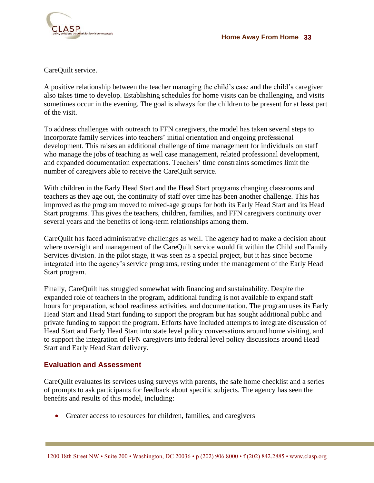

CareQuilt service.

A positive relationship between the teacher managing the child"s case and the child"s caregiver also takes time to develop. Establishing schedules for home visits can be challenging, and visits sometimes occur in the evening. The goal is always for the children to be present for at least part of the visit.

To address challenges with outreach to FFN caregivers, the model has taken several steps to incorporate family services into teachers' initial orientation and ongoing professional development. This raises an additional challenge of time management for individuals on staff who manage the jobs of teaching as well case management, related professional development, and expanded documentation expectations. Teachers' time constraints sometimes limit the number of caregivers able to receive the CareQuilt service.

With children in the Early Head Start and the Head Start programs changing classrooms and teachers as they age out, the continuity of staff over time has been another challenge. This has improved as the program moved to mixed-age groups for both its Early Head Start and its Head Start programs. This gives the teachers, children, families, and FFN caregivers continuity over several years and the benefits of long-term relationships among them.

CareQuilt has faced administrative challenges as well. The agency had to make a decision about where oversight and management of the CareQuilt service would fit within the Child and Family Services division. In the pilot stage, it was seen as a special project, but it has since become integrated into the agency"s service programs, resting under the management of the Early Head Start program.

Finally, CareQuilt has struggled somewhat with financing and sustainability. Despite the expanded role of teachers in the program, additional funding is not available to expand staff hours for preparation, school readiness activities, and documentation. The program uses its Early Head Start and Head Start funding to support the program but has sought additional public and private funding to support the program. Efforts have included attempts to integrate discussion of Head Start and Early Head Start into state level policy conversations around home visiting, and to support the integration of FFN caregivers into federal level policy discussions around Head Start and Early Head Start delivery.

#### **Evaluation and Assessment**

CareQuilt evaluates its services using surveys with parents, the safe home checklist and a series of prompts to ask participants for feedback about specific subjects. The agency has seen the benefits and results of this model, including:

Greater access to resources for children, families, and caregivers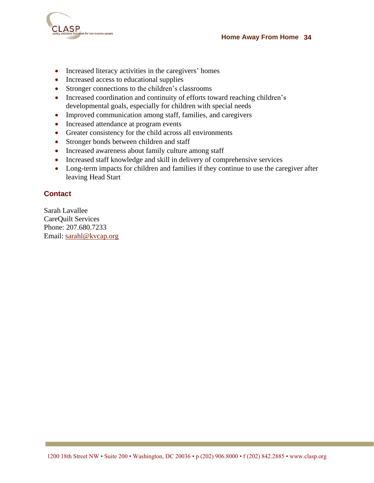

- Increased literacy activities in the caregivers' homes
- Increased access to educational supplies
- Stronger connections to the children's classrooms
- Increased coordination and continuity of efforts toward reaching children's developmental goals, especially for children with special needs
- Improved communication among staff, families, and caregivers
- Increased attendance at program events
- Greater consistency for the child across all environments
- Stronger bonds between children and staff
- Increased awareness about family culture among staff
- Increased staff knowledge and skill in delivery of comprehensive services
- Long-term impacts for children and families if they continue to use the caregiver after leaving Head Start

### **Contact**

Sarah Lavallee CareQuilt Services Phone: 207.680.7233 Email:<sarahl@kvcap.org>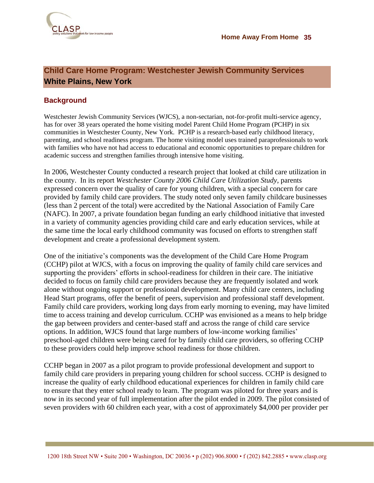

### <span id="page-34-0"></span>**Child Care Home Program: Westchester Jewish Community Services White Plains, New York**

### **Background**

Westchester Jewish Community Services (WJCS), a non-sectarian, not-for-profit multi-service agency, has for over 38 years operated the home visiting model Parent Child Home Program (PCHP) in six communities in Westchester County, New York. PCHP is a research-based early childhood literacy, parenting, and school readiness program. The home visiting model uses trained paraprofessionals to work with families who have not had access to educational and economic opportunities to prepare children for academic success and strengthen families through intensive home visiting.

In 2006, Westchester County conducted a research project that looked at child care utilization in the county. In its report *Westchester County 2006 Child Care Utilization Study*, parents expressed concern over the quality of care for young children, with a special concern for care provided by family child care providers. The study noted only seven family childcare businesses (less than 2 percent of the total) were accredited by the National Association of Family Care (NAFC). In 2007, a private foundation began funding an early childhood initiative that invested in a variety of community agencies providing child care and early education services, while at the same time the local early childhood community was focused on efforts to strengthen staff development and create a professional development system.

One of the initiative"s components was the development of the Child Care Home Program (CCHP) pilot at WJCS, with a focus on improving the quality of family child care services and supporting the providers' efforts in school-readiness for children in their care. The initiative decided to focus on family child care providers because they are frequently isolated and work alone without ongoing support or professional development. Many child care centers, including Head Start programs, offer the benefit of peers, supervision and professional staff development. Family child care providers, working long days from early morning to evening, may have limited time to access training and develop curriculum. CCHP was envisioned as a means to help bridge the gap between providers and center-based staff and across the range of child care service options. In addition, WJCS found that large numbers of low-income working families" preschool-aged children were being cared for by family child care providers, so offering CCHP to these providers could help improve school readiness for those children.

CCHP began in 2007 as a pilot program to provide professional development and support to family child care providers in preparing young children for school success. CCHP is designed to increase the quality of early childhood educational experiences for children in family child care to ensure that they enter school ready to learn. The program was piloted for three years and is now in its second year of full implementation after the pilot ended in 2009. The pilot consisted of seven providers with 60 children each year, with a cost of approximately \$4,000 per provider per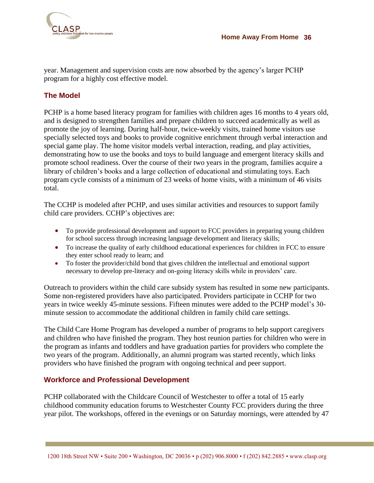

year. Management and supervision costs are now absorbed by the agency"s larger PCHP program for a highly cost effective model.

### **The Model**

PCHP is a home based literacy program for families with children ages 16 months to 4 years old, and is designed to strengthen families and prepare children to succeed academically as well as promote the joy of learning. During half-hour, twice-weekly visits, trained home visitors use specially selected toys and books to provide cognitive enrichment through verbal interaction and special game play. The home visitor models verbal interaction, reading, and play activities, demonstrating how to use the books and toys to build language and emergent literacy skills and promote school readiness. Over the course of their two years in the program, families acquire a library of children's books and a large collection of educational and stimulating toys. Each program cycle consists of a minimum of 23 weeks of home visits, with a minimum of 46 visits total.

The CCHP is modeled after PCHP, and uses similar activities and resources to support family child care providers. CCHP"s objectives are:

- To provide professional development and support to FCC providers in preparing young children for school success through increasing language development and literacy skills;
- To increase the quality of early childhood educational experiences for children in FCC to ensure they enter school ready to learn; and
- To foster the provider/child bond that gives children the intellectual and emotional support necessary to develop pre-literacy and on-going literacy skills while in providers" care.

Outreach to providers within the child care subsidy system has resulted in some new participants. Some non-registered providers have also participated. Providers participate in CCHP for two years in twice weekly 45-minute sessions. Fifteen minutes were added to the PCHP model"s 30 minute session to accommodate the additional children in family child care settings.

The Child Care Home Program has developed a number of programs to help support caregivers and children who have finished the program. They host reunion parties for children who were in the program as infants and toddlers and have graduation parties for providers who complete the two years of the program. Additionally, an alumni program was started recently, which links providers who have finished the program with ongoing technical and peer support.

### **Workforce and Professional Development**

PCHP collaborated with the Childcare Council of Westchester to offer a total of 15 early childhood community education forums to Westchester County FCC providers during the three year pilot. The workshops, offered in the evenings or on Saturday mornings, were attended by 47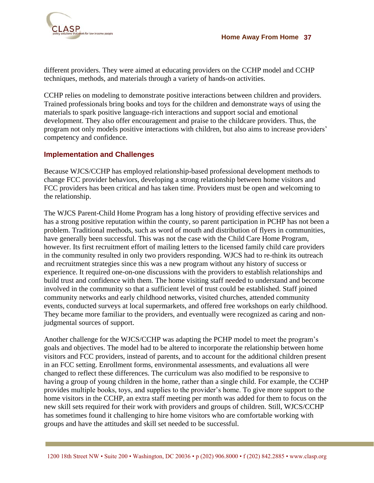

different providers. They were aimed at educating providers on the CCHP model and CCHP techniques, methods, and materials through a variety of hands-on activities.

CCHP relies on modeling to demonstrate positive interactions between children and providers. Trained professionals bring books and toys for the children and demonstrate ways of using the materials to spark positive language-rich interactions and support social and emotional development. They also offer encouragement and praise to the childcare providers. Thus, the program not only models positive interactions with children, but also aims to increase providers" competency and confidence.

### **Implementation and Challenges**

Because WJCS/CCHP has employed relationship-based professional development methods to change FCC provider behaviors, developing a strong relationship between home visitors and FCC providers has been critical and has taken time. Providers must be open and welcoming to the relationship.

The WJCS Parent-Child Home Program has a long history of providing effective services and has a strong positive reputation within the county, so parent participation in PCHP has not been a problem. Traditional methods, such as word of mouth and distribution of flyers in communities, have generally been successful. This was not the case with the Child Care Home Program, however. Its first recruitment effort of mailing letters to the licensed family child care providers in the community resulted in only two providers responding. WJCS had to re-think its outreach and recruitment strategies since this was a new program without any history of success or experience. It required one-on-one discussions with the providers to establish relationships and build trust and confidence with them. The home visiting staff needed to understand and become involved in the community so that a sufficient level of trust could be established. Staff joined community networks and early childhood networks, visited churches, attended community events, conducted surveys at local supermarkets, and offered free workshops on early childhood. They became more familiar to the providers, and eventually were recognized as caring and nonjudgmental sources of support.

Another challenge for the WJCS/CCHP was adapting the PCHP model to meet the program"s goals and objectives. The model had to be altered to incorporate the relationship between home visitors and FCC providers, instead of parents, and to account for the additional children present in an FCC setting. Enrollment forms, environmental assessments, and evaluations all were changed to reflect these differences. The curriculum was also modified to be responsive to having a group of young children in the home, rather than a single child. For example, the CCHP provides multiple books, toys, and supplies to the provider"s home. To give more support to the home visitors in the CCHP, an extra staff meeting per month was added for them to focus on the new skill sets required for their work with providers and groups of children. Still, WJCS/CCHP has sometimes found it challenging to hire home visitors who are comfortable working with groups and have the attitudes and skill set needed to be successful.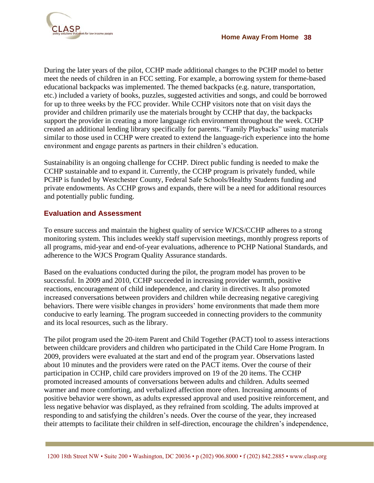

During the later years of the pilot, CCHP made additional changes to the PCHP model to better meet the needs of children in an FCC setting. For example, a borrowing system for theme-based educational backpacks was implemented. The themed backpacks (e.g. nature, transportation, etc.) included a variety of books, puzzles, suggested activities and songs, and could be borrowed for up to three weeks by the FCC provider. While CCHP visitors note that on visit days the provider and children primarily use the materials brought by CCHP that day, the backpacks support the provider in creating a more language rich environment throughout the week. CCHP created an additional lending library specifically for parents. "Family Playbacks" using materials similar to those used in CCHP were created to extend the language-rich experience into the home environment and engage parents as partners in their children"s education.

Sustainability is an ongoing challenge for CCHP. Direct public funding is needed to make the CCHP sustainable and to expand it. Currently, the CCHP program is privately funded, while PCHP is funded by Westchester County, Federal Safe Schools/Healthy Students funding and private endowments. As CCHP grows and expands, there will be a need for additional resources and potentially public funding.

### **Evaluation and Assessment**

To ensure success and maintain the highest quality of service WJCS/CCHP adheres to a strong monitoring system. This includes weekly staff supervision meetings, monthly progress reports of all programs, mid-year and end-of-year evaluations, adherence to PCHP National Standards, and adherence to the WJCS Program Quality Assurance standards.

Based on the evaluations conducted during the pilot, the program model has proven to be successful. In 2009 and 2010, CCHP succeeded in increasing provider warmth, positive reactions, encouragement of child independence, and clarity in directives. It also promoted increased conversations between providers and children while decreasing negative caregiving behaviors. There were visible changes in providers' home environments that made them more conducive to early learning. The program succeeded in connecting providers to the community and its local resources, such as the library.

The pilot program used the 20-item Parent and Child Together (PACT) tool to assess interactions between childcare providers and children who participated in the Child Care Home Program. In 2009, providers were evaluated at the start and end of the program year. Observations lasted about 10 minutes and the providers were rated on the PACT items. Over the course of their participation in CCHP, child care providers improved on 19 of the 20 items. The CCHP promoted increased amounts of conversations between adults and children. Adults seemed warmer and more comforting, and verbalized affection more often. Increasing amounts of positive behavior were shown, as adults expressed approval and used positive reinforcement, and less negative behavior was displayed, as they refrained from scolding. The adults improved at responding to and satisfying the children"s needs. Over the course of the year, they increased their attempts to facilitate their children in self-direction, encourage the children"s independence,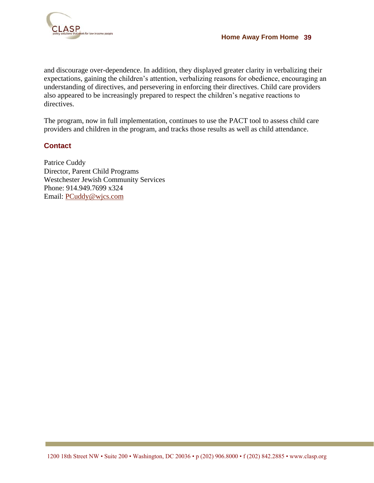

and discourage over-dependence. In addition, they displayed greater clarity in verbalizing their expectations, gaining the children's attention, verbalizing reasons for obedience, encouraging an understanding of directives, and persevering in enforcing their directives. Child care providers also appeared to be increasingly prepared to respect the children"s negative reactions to directives.

The program, now in full implementation, continues to use the PACT tool to assess child care providers and children in the program, and tracks those results as well as child attendance.

### **Contact**

Patrice Cuddy Director, Parent Child Programs Westchester Jewish Community Services Phone: 914.949.7699 x324 Email:<PCuddy@wjcs.com>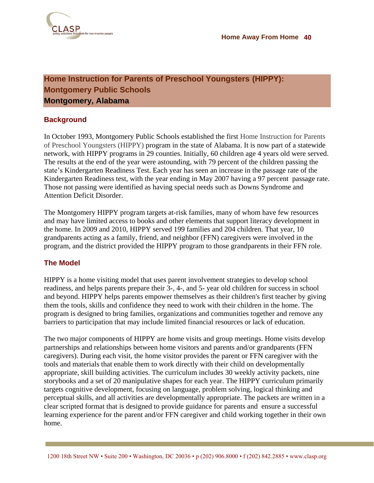

### <span id="page-39-0"></span>**Home Instruction for Parents of Preschool Youngsters (HIPPY): Montgomery Public Schools Montgomery, Alabama**

### **Background**

In October 1993, Montgomery Public Schools established the first Home Instruction for Parents of Preschool Youngsters (HIPPY) program in the state of Alabama. It is now part of a statewide network, with HIPPY programs in 29 counties. Initially, 60 children age 4 years old were served. The results at the end of the year were astounding, with 79 percent of the children passing the state's Kindergarten Readiness Test. Each year has seen an increase in the passage rate of the Kindergarten Readiness test, with the year ending in May 2007 having a 97 percent passage rate. Those not passing were identified as having special needs such as Downs Syndrome and Attention Deficit Disorder.

The Montgomery HIPPY program targets at-risk families, many of whom have few resources and may have limited access to books and other elements that support literacy development in the home. In 2009 and 2010, HIPPY served 199 families and 204 children. That year, 10 grandparents acting as a family, friend, and neighbor (FFN) caregivers were involved in the program, and the district provided the HIPPY program to those grandparents in their FFN role.

### **The Model**

HIPPY is a home visiting model that uses parent involvement strategies to develop school readiness, and helps parents prepare their 3-, 4-, and 5- year old children for success in school and beyond. HIPPY helps parents empower themselves as their children's first teacher by giving them the tools, skills and confidence they need to work with their children in the home. The program is designed to bring families, organizations and communities together and remove any barriers to participation that may include limited financial resources or lack of education.

The two major components of HIPPY are home visits and group meetings. Home visits develop partnerships and relationships between home visitors and parents and/or grandparents (FFN caregivers). During each visit, the home visitor provides the parent or FFN caregiver with the tools and materials that enable them to work directly with their child on developmentally appropriate, skill building activities. The curriculum includes 30 weekly activity packets, nine storybooks and a set of 20 manipulative shapes for each year. The HIPPY curriculum primarily targets cognitive development, focusing on language, problem solving, logical thinking and perceptual skills, and all activities are developmentally appropriate. The packets are written in a clear scripted format that is designed to provide guidance for parents and ensure a successful learning experience for the parent and/or FFN caregiver and child working together in their own home.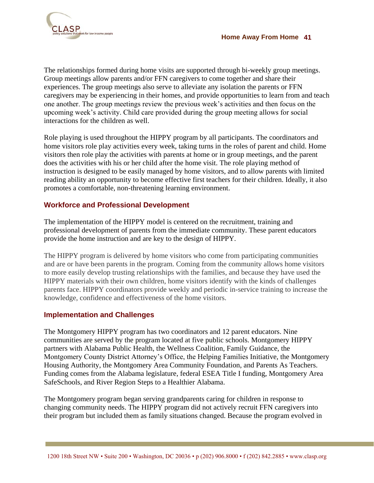

The relationships formed during home visits are supported through bi-weekly group meetings. Group meetings allow parents and/or FFN caregivers to come together and share their experiences. The group meetings also serve to alleviate any isolation the parents or FFN caregivers may be experiencing in their homes, and provide opportunities to learn from and teach one another. The group meetings review the previous week"s activities and then focus on the upcoming week"s activity. Child care provided during the group meeting allows for social interactions for the children as well.

Role playing is used throughout the HIPPY program by all participants. The coordinators and home visitors role play activities every week, taking turns in the roles of parent and child. Home visitors then role play the activities with parents at home or in group meetings, and the parent does the activities with his or her child after the home visit. The role playing method of instruction is designed to be easily managed by home visitors, and to allow parents with limited reading ability an opportunity to become effective first teachers for their children. Ideally, it also promotes a comfortable, non-threatening learning environment.

### **Workforce and Professional Development**

The implementation of the HIPPY model is centered on the recruitment, training and professional development of parents from the immediate community. These parent educators provide the home instruction and are key to the design of HIPPY.

The HIPPY program is delivered by home visitors who come from participating communities and are or have been parents in the program. Coming from the community allows home visitors to more easily develop trusting relationships with the families, and because they have used the HIPPY materials with their own children, home visitors identify with the kinds of challenges parents face. HIPPY coordinators provide weekly and periodic in-service training to increase the knowledge, confidence and effectiveness of the home visitors.

### **Implementation and Challenges**

The Montgomery HIPPY program has two coordinators and 12 parent educators. Nine communities are served by the program located at five public schools. Montgomery HIPPY partners with Alabama Public Health, the Wellness Coalition, Family Guidance, the Montgomery County District Attorney"s Office, the Helping Families Initiative, the Montgomery Housing Authority, the Montgomery Area Community Foundation, and Parents As Teachers. Funding comes from the Alabama legislature, federal ESEA Title I funding, Montgomery Area SafeSchools, and River Region Steps to a Healthier Alabama.

The Montgomery program began serving grandparents caring for children in response to changing community needs. The HIPPY program did not actively recruit FFN caregivers into their program but included them as family situations changed. Because the program evolved in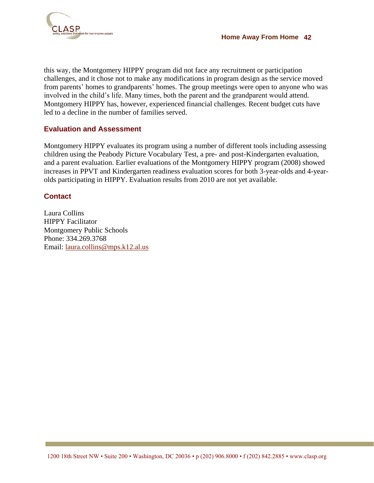

this way, the Montgomery HIPPY program did not face any recruitment or participation challenges, and it chose not to make any modifications in program design as the service moved from parents' homes to grandparents' homes. The group meetings were open to anyone who was involved in the child"s life. Many times, both the parent and the grandparent would attend. Montgomery HIPPY has, however, experienced financial challenges. Recent budget cuts have led to a decline in the number of families served.

### **Evaluation and Assessment**

Montgomery HIPPY evaluates its program using a number of different tools including assessing children using the Peabody Picture Vocabulary Test, a pre- and post-Kindergarten evaluation, and a parent evaluation. Earlier evaluations of the Montgomery HIPPY program (2008) showed increases in PPVT and Kindergarten readiness evaluation scores for both 3-year-olds and 4-yearolds participating in HIPPY. Evaluation results from 2010 are not yet available.

### **Contact**

Laura Collins HIPPY Facilitator Montgomery Public Schools Phone: 334.269.3768 Email: [laura.collins@mps.k12.al.us](mailto:laura.collins@mps.k12.al.us)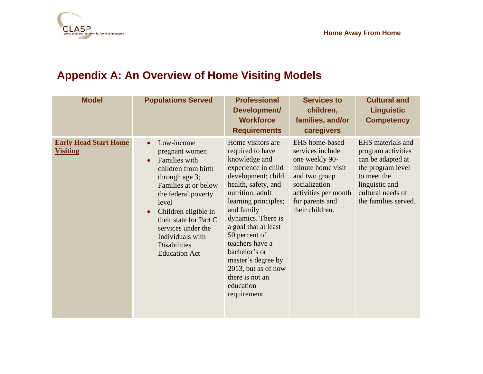

| <b>Model</b>                                    | <b>Populations Served</b>                                                                                                                                                                                                                                                                                                        | <b>Professional</b><br>Development/<br><b>Workforce</b><br><b>Requirements</b>                                                                                                                                                                                                                                                                                                       | <b>Services to</b><br>children,<br>families, and/or<br>caregivers                                                                                                         | <b>Cultural and</b><br><b>Linguistic</b><br><b>Competency</b>                                                                                                   |
|-------------------------------------------------|----------------------------------------------------------------------------------------------------------------------------------------------------------------------------------------------------------------------------------------------------------------------------------------------------------------------------------|--------------------------------------------------------------------------------------------------------------------------------------------------------------------------------------------------------------------------------------------------------------------------------------------------------------------------------------------------------------------------------------|---------------------------------------------------------------------------------------------------------------------------------------------------------------------------|-----------------------------------------------------------------------------------------------------------------------------------------------------------------|
| <b>Early Head Start Home</b><br><b>Visiting</b> | Low-income<br>$\bullet$<br>pregnant women<br>Families with<br>$\bullet$<br>children from birth<br>through age 3;<br>Families at or below<br>the federal poverty<br>level<br>Children eligible in<br>$\bullet$<br>their state for Part C<br>services under the<br>Individuals with<br><b>Disabilities</b><br><b>Education Act</b> | Home visitors are<br>required to have<br>knowledge and<br>experience in child<br>development; child<br>health, safety, and<br>nutrition; adult<br>learning principles;<br>and family<br>dynamics. There is<br>a goal that at least<br>50 percent of<br>teachers have a<br>bachelor's or<br>master's degree by<br>2013, but as of now<br>there is not an<br>education<br>requirement. | EHS home-based<br>services include<br>one weekly 90-<br>minute home visit<br>and two group<br>socialization<br>activities per month<br>for parents and<br>their children. | EHS materials and<br>program activities<br>can be adapted at<br>the program level<br>to meet the<br>linguistic and<br>cultural needs of<br>the families served. |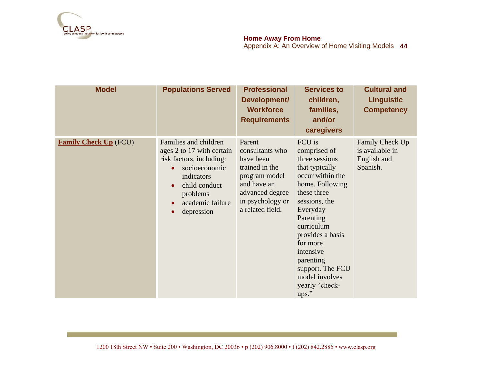

### **Home Away From Home**

| <b>Model</b>                 | <b>Populations Served</b>                                                                                                                                                                                                        | <b>Professional</b><br>Development/<br><b>Workforce</b><br><b>Requirements</b>                                                                      | <b>Services to</b><br>children,<br>families,<br>and/or<br>caregivers                                                                                                                                                                                                                                | <b>Cultural and</b><br><b>Linguistic</b><br><b>Competency</b> |
|------------------------------|----------------------------------------------------------------------------------------------------------------------------------------------------------------------------------------------------------------------------------|-----------------------------------------------------------------------------------------------------------------------------------------------------|-----------------------------------------------------------------------------------------------------------------------------------------------------------------------------------------------------------------------------------------------------------------------------------------------------|---------------------------------------------------------------|
| <b>Family Check Up</b> (FCU) | Families and children<br>ages 2 to 17 with certain<br>risk factors, including:<br>socioeconomic<br>$\bullet$<br>indicators<br>child conduct<br>$\bullet$<br>problems<br>academic failure<br>$\bullet$<br>depression<br>$\bullet$ | Parent<br>consultants who<br>have been<br>trained in the<br>program model<br>and have an<br>advanced degree<br>in psychology or<br>a related field. | FCU is<br>comprised of<br>three sessions<br>that typically<br>occur within the<br>home. Following<br>these three<br>sessions, the<br>Everyday<br>Parenting<br>curriculum<br>provides a basis<br>for more<br>intensive<br>parenting<br>support. The FCU<br>model involves<br>yearly "check-<br>ups." | Family Check Up<br>is available in<br>English and<br>Spanish. |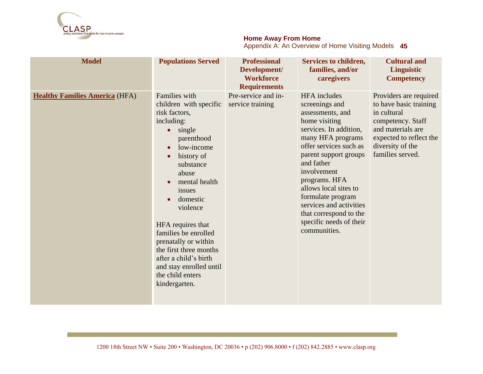

#### **Home Away From Home**

| <b>Model</b>                          | <b>Populations Served</b>                                                                                                                                                                                                                                                                                                                                                                                                                 | <b>Professional</b><br>Development/<br><b>Workforce</b><br><b>Requirements</b> | Services to children,<br>families, and/or<br>caregivers                                                                                                                                                                                                                                                                                                                  | <b>Cultural and</b><br>Linguistic<br><b>Competency</b>                                                                                                                       |
|---------------------------------------|-------------------------------------------------------------------------------------------------------------------------------------------------------------------------------------------------------------------------------------------------------------------------------------------------------------------------------------------------------------------------------------------------------------------------------------------|--------------------------------------------------------------------------------|--------------------------------------------------------------------------------------------------------------------------------------------------------------------------------------------------------------------------------------------------------------------------------------------------------------------------------------------------------------------------|------------------------------------------------------------------------------------------------------------------------------------------------------------------------------|
| <b>Healthy Families America (HFA)</b> | <b>Families</b> with<br>children with specific<br>risk factors,<br>including:<br>single<br>$\bullet$<br>parenthood<br>low-income<br>$\bullet$<br>history of<br>$\bullet$<br>substance<br>abuse<br>mental health<br>issues<br>domestic<br>violence<br>HFA requires that<br>families be enrolled<br>prenatally or within<br>the first three months<br>after a child's birth<br>and stay enrolled until<br>the child enters<br>kindergarten. | Pre-service and in-<br>service training                                        | <b>HFA</b> includes<br>screenings and<br>assessments, and<br>home visiting<br>services. In addition,<br>many HFA programs<br>offer services such as<br>parent support groups<br>and father<br>involvement<br>programs. HFA<br>allows local sites to<br>formulate program<br>services and activities<br>that correspond to the<br>specific needs of their<br>communities. | Providers are required<br>to have basic training<br>in cultural<br>competency. Staff<br>and materials are<br>expected to reflect the<br>diversity of the<br>families served. |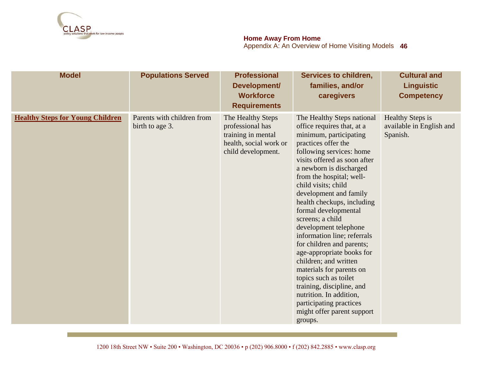

### **Home Away From Home**

| <b>Model</b>                            | <b>Populations Served</b>                     | <b>Professional</b><br>Development/<br><b>Workforce</b><br><b>Requirements</b>                              | Services to children,<br>families, and/or<br>caregivers                                                                                                                                                                                                                                                                                                                                                                                                                                                                                                                                                                                                                             | <b>Cultural and</b><br><b>Linguistic</b><br><b>Competency</b>   |
|-----------------------------------------|-----------------------------------------------|-------------------------------------------------------------------------------------------------------------|-------------------------------------------------------------------------------------------------------------------------------------------------------------------------------------------------------------------------------------------------------------------------------------------------------------------------------------------------------------------------------------------------------------------------------------------------------------------------------------------------------------------------------------------------------------------------------------------------------------------------------------------------------------------------------------|-----------------------------------------------------------------|
| <b>Healthy Steps for Young Children</b> | Parents with children from<br>birth to age 3. | The Healthy Steps<br>professional has<br>training in mental<br>health, social work or<br>child development. | The Healthy Steps national<br>office requires that, at a<br>minimum, participating<br>practices offer the<br>following services: home<br>visits offered as soon after<br>a newborn is discharged<br>from the hospital; well-<br>child visits; child<br>development and family<br>health checkups, including<br>formal developmental<br>screens; a child<br>development telephone<br>information line; referrals<br>for children and parents;<br>age-appropriate books for<br>children; and written<br>materials for parents on<br>topics such as toilet<br>training, discipline, and<br>nutrition. In addition,<br>participating practices<br>might offer parent support<br>groups. | <b>Healthy Steps is</b><br>available in English and<br>Spanish. |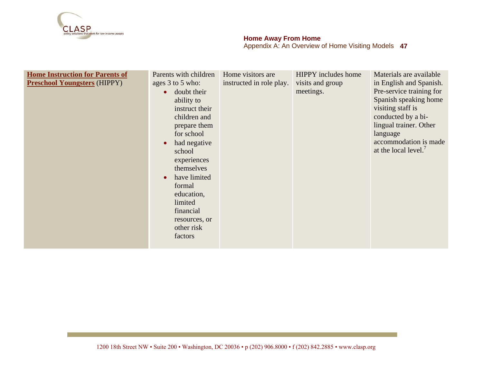

#### **Home Away From Home** Appendix A: An Overview of Home Visiting Models **47**

| <b>Home Instruction for Parents of</b><br><b>Preschool Youngsters (HIPPY)</b> | Parents with children<br>ages 3 to 5 who:<br>doubt their<br>$\bullet$<br>ability to<br>instruct their<br>children and<br>prepare them<br>for school<br>had negative<br>school<br>experiences<br>themselves<br>have limited<br>formal<br>education,<br>limited<br>financial<br>resources, or<br>other risk<br>factors | Home visitors are<br>instructed in role play. | <b>HIPPY</b> includes home<br>visits and group<br>meetings. | Materials are available<br>in English and Spanish.<br>Pre-service training for<br>Spanish speaking home<br>visiting staff is<br>conducted by a bi-<br>lingual trainer. Other<br>language<br>accommodation is made<br>at the local level. |
|-------------------------------------------------------------------------------|----------------------------------------------------------------------------------------------------------------------------------------------------------------------------------------------------------------------------------------------------------------------------------------------------------------------|-----------------------------------------------|-------------------------------------------------------------|------------------------------------------------------------------------------------------------------------------------------------------------------------------------------------------------------------------------------------------|
|-------------------------------------------------------------------------------|----------------------------------------------------------------------------------------------------------------------------------------------------------------------------------------------------------------------------------------------------------------------------------------------------------------------|-----------------------------------------------|-------------------------------------------------------------|------------------------------------------------------------------------------------------------------------------------------------------------------------------------------------------------------------------------------------------|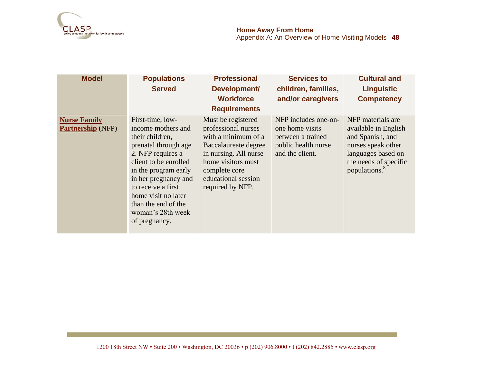

| <b>Model</b>                                    | <b>Populations</b><br><b>Served</b>                                                                                                                                                                                                                                                       | <b>Professional</b><br>Development/<br><b>Workforce</b><br><b>Requirements</b>                                                                                                                      | <b>Services to</b><br>children, families,<br>and/or caregivers                                         | <b>Cultural and</b><br><b>Linguistic</b><br><b>Competency</b>                                                                                                   |
|-------------------------------------------------|-------------------------------------------------------------------------------------------------------------------------------------------------------------------------------------------------------------------------------------------------------------------------------------------|-----------------------------------------------------------------------------------------------------------------------------------------------------------------------------------------------------|--------------------------------------------------------------------------------------------------------|-----------------------------------------------------------------------------------------------------------------------------------------------------------------|
| <b>Nurse Family</b><br><b>Partnership</b> (NFP) | First-time, low-<br>income mothers and<br>their children,<br>prenatal through age<br>2. NFP requires a<br>client to be enrolled<br>in the program early<br>in her pregnancy and<br>to receive a first<br>home visit no later<br>than the end of the<br>woman's 28th week<br>of pregnancy. | Must be registered<br>professional nurses<br>with a minimum of a<br>Baccalaureate degree<br>in nursing. All nurse<br>home visitors must<br>complete core<br>educational session<br>required by NFP. | NFP includes one-on-<br>one home visits<br>between a trained<br>public health nurse<br>and the client. | NFP materials are<br>available in English<br>and Spanish, and<br>nurses speak other<br>languages based on<br>the needs of specific<br>populations. <sup>8</sup> |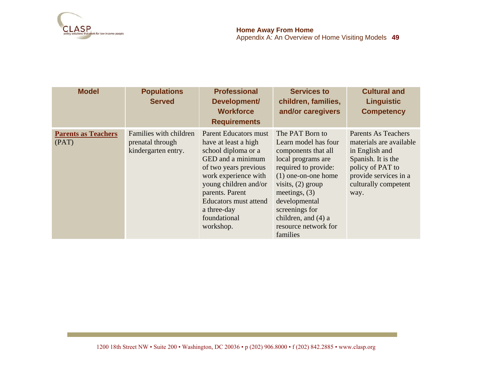

| <b>Model</b>                        | <b>Populations</b><br><b>Served</b>                               | <b>Professional</b><br>Development/<br><b>Workforce</b><br><b>Requirements</b>                                                                                                                                                                                     | <b>Services to</b><br>children, families,<br>and/or caregivers                                                                                                                                                                                                                | <b>Cultural and</b><br><b>Linguistic</b><br><b>Competency</b>                                                                                                       |
|-------------------------------------|-------------------------------------------------------------------|--------------------------------------------------------------------------------------------------------------------------------------------------------------------------------------------------------------------------------------------------------------------|-------------------------------------------------------------------------------------------------------------------------------------------------------------------------------------------------------------------------------------------------------------------------------|---------------------------------------------------------------------------------------------------------------------------------------------------------------------|
| <b>Parents as Teachers</b><br>(PAT) | Families with children<br>prenatal through<br>kindergarten entry. | <b>Parent Educators must</b><br>have at least a high<br>school diploma or a<br>GED and a minimum<br>of two years previous<br>work experience with<br>young children and/or<br>parents. Parent<br>Educators must attend<br>a three-day<br>foundational<br>workshop. | The PAT Born to<br>Learn model has four<br>components that all<br>local programs are<br>required to provide:<br>$(1)$ one-on-one home<br>visits, $(2)$ group<br>meetings, $(3)$<br>developmental<br>screenings for<br>children, and (4) a<br>resource network for<br>families | Parents As Teachers<br>materials are available<br>in English and<br>Spanish. It is the<br>policy of PAT to<br>provide services in a<br>culturally competent<br>way. |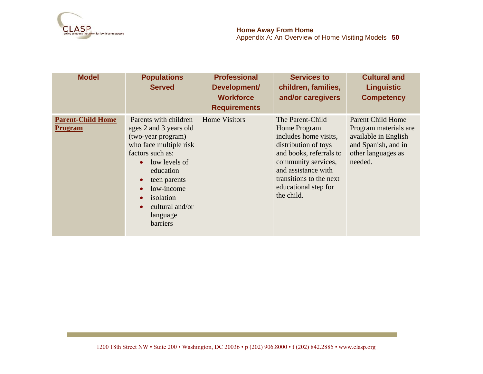

| <b>Model</b>                               | <b>Populations</b><br><b>Served</b>                                                                                                                                                                                                                                                                   | <b>Professional</b><br>Development/<br><b>Workforce</b><br><b>Requirements</b> | <b>Services to</b><br>children, families,<br>and/or caregivers                                                                                                                                                              | <b>Cultural and</b><br><b>Linguistic</b><br><b>Competency</b>                                                                     |
|--------------------------------------------|-------------------------------------------------------------------------------------------------------------------------------------------------------------------------------------------------------------------------------------------------------------------------------------------------------|--------------------------------------------------------------------------------|-----------------------------------------------------------------------------------------------------------------------------------------------------------------------------------------------------------------------------|-----------------------------------------------------------------------------------------------------------------------------------|
| <b>Parent-Child Home</b><br><b>Program</b> | Parents with children<br>ages 2 and 3 years old<br>(two-year program)<br>who face multiple risk<br>factors such as:<br>$\bullet$ low levels of<br>education<br>teen parents<br>$\bullet$<br>low-income<br>$\bullet$<br>isolation<br>$\bullet$<br>cultural and/or<br>$\bullet$<br>language<br>barriers | <b>Home Visitors</b>                                                           | The Parent-Child<br>Home Program<br>includes home visits,<br>distribution of toys<br>and books, referrals to<br>community services,<br>and assistance with<br>transitions to the next<br>educational step for<br>the child. | <b>Parent Child Home</b><br>Program materials are<br>available in English<br>and Spanish, and in<br>other languages as<br>needed. |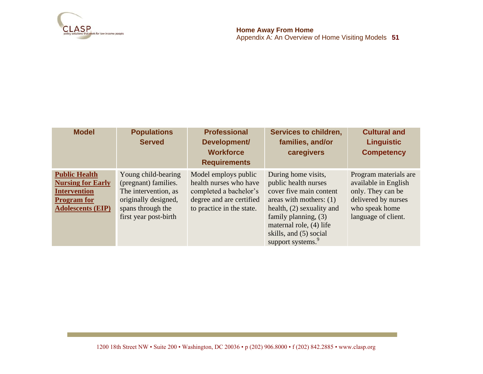

**51 Home Away From Home** Appendix A: An Overview of Home Visiting Models

| <b>Model</b>                                                                                                              | <b>Populations</b><br><b>Served</b>                                                                                                       | <b>Professional</b><br>Development/<br><b>Workforce</b><br><b>Requirements</b>                                                    | Services to children,<br>families, and/or<br>caregivers                                                                                                                                                                                            | <b>Cultural and</b><br><b>Linguistic</b><br><b>Competency</b>                                                                      |
|---------------------------------------------------------------------------------------------------------------------------|-------------------------------------------------------------------------------------------------------------------------------------------|-----------------------------------------------------------------------------------------------------------------------------------|----------------------------------------------------------------------------------------------------------------------------------------------------------------------------------------------------------------------------------------------------|------------------------------------------------------------------------------------------------------------------------------------|
| <b>Public Health</b><br><b>Nursing for Early</b><br><b>Intervention</b><br><b>Program</b> for<br><b>Adolescents (EIP)</b> | Young child-bearing<br>(pregnant) families.<br>The intervention, as<br>originally designed,<br>spans through the<br>first year post-birth | Model employs public<br>health nurses who have<br>completed a bachelor's<br>degree and are certified<br>to practice in the state. | During home visits,<br>public health nurses<br>cover five main content<br>areas with mothers: $(1)$<br>health, $(2)$ sexuality and<br>family planning, $(3)$<br>maternal role, (4) life<br>skills, and (5) social<br>support systems. <sup>9</sup> | Program materials are<br>available in English<br>only. They can be<br>delivered by nurses<br>who speak home<br>language of client. |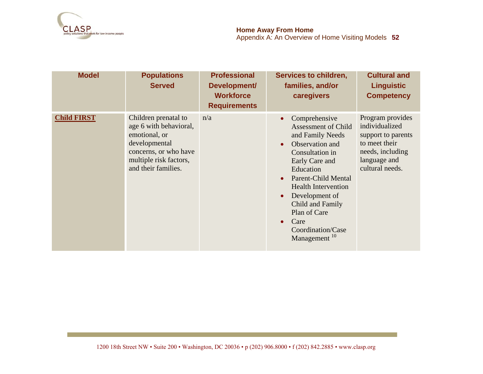

| <b>Model</b>       | <b>Populations</b><br><b>Served</b>                                                                                                                        | <b>Professional</b><br>Development/<br><b>Workforce</b><br><b>Requirements</b> | Services to children,<br>families, and/or<br>caregivers                                                                                                                                                                                                                                                             | <b>Cultural and</b><br><b>Linguistic</b><br><b>Competency</b>                                                                    |
|--------------------|------------------------------------------------------------------------------------------------------------------------------------------------------------|--------------------------------------------------------------------------------|---------------------------------------------------------------------------------------------------------------------------------------------------------------------------------------------------------------------------------------------------------------------------------------------------------------------|----------------------------------------------------------------------------------------------------------------------------------|
| <b>Child FIRST</b> | Children prenatal to<br>age 6 with behavioral,<br>emotional, or<br>developmental<br>concerns, or who have<br>multiple risk factors,<br>and their families. | n/a                                                                            | Comprehensive<br><b>Assessment of Child</b><br>and Family Needs<br>Observation and<br>Consultation in<br>Early Care and<br>Education<br><b>Parent-Child Mental</b><br><b>Health Intervention</b><br>Development of<br>Child and Family<br>Plan of Care<br>Care<br>$\bullet$<br>Coordination/Case<br>Management $10$ | Program provides<br>individualized<br>support to parents<br>to meet their<br>needs, including<br>language and<br>cultural needs. |